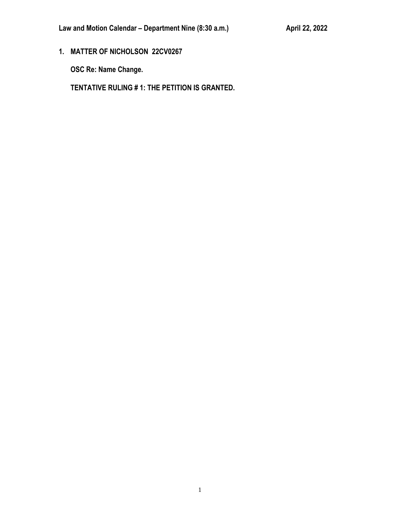**1. MATTER OF NICHOLSON 22CV0267**

**OSC Re: Name Change.**

**TENTATIVE RULING # 1: THE PETITION IS GRANTED.**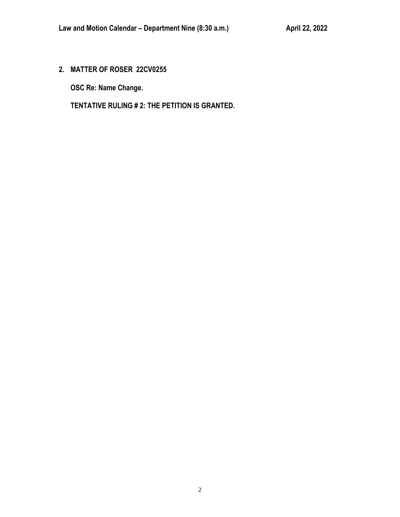**2. MATTER OF ROSER 22CV0255**

**OSC Re: Name Change.**

**TENTATIVE RULING # 2: THE PETITION IS GRANTED.**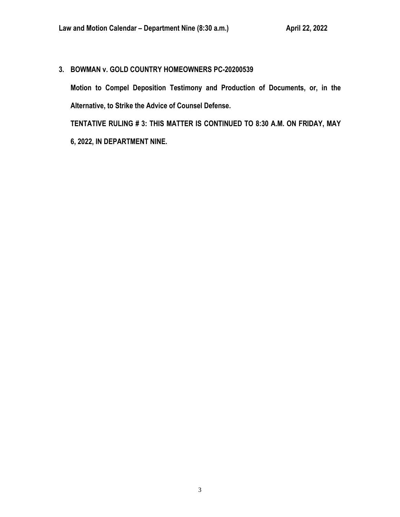**3. BOWMAN v. GOLD COUNTRY HOMEOWNERS PC-20200539**

**Motion to Compel Deposition Testimony and Production of Documents, or, in the Alternative, to Strike the Advice of Counsel Defense.**

**TENTATIVE RULING # 3: THIS MATTER IS CONTINUED TO 8:30 A.M. ON FRIDAY, MAY 6, 2022, IN DEPARTMENT NINE.**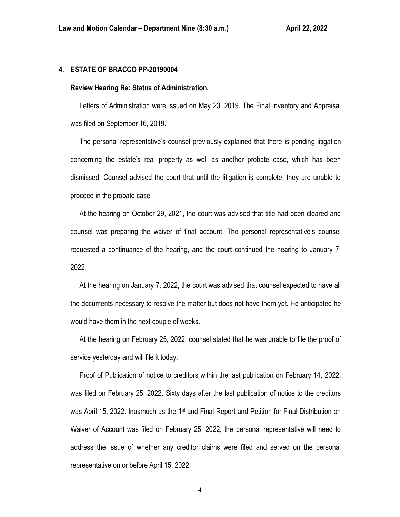# **4. ESTATE OF BRACCO PP-20190004**

### **Review Hearing Re: Status of Administration.**

 Letters of Administration were issued on May 23, 2019. The Final Inventory and Appraisal was filed on September 16, 2019.

 The personal representative's counsel previously explained that there is pending litigation concerning the estate's real property as well as another probate case, which has been dismissed. Counsel advised the court that until the litigation is complete, they are unable to proceed in the probate case.

 At the hearing on October 29, 2021, the court was advised that title had been cleared and counsel was preparing the waiver of final account. The personal representative's counsel requested a continuance of the hearing, and the court continued the hearing to January 7, 2022.

 At the hearing on January 7, 2022, the court was advised that counsel expected to have all the documents necessary to resolve the matter but does not have them yet. He anticipated he would have them in the next couple of weeks.

 At the hearing on February 25, 2022, counsel stated that he was unable to file the proof of service yesterday and will file it today.

 Proof of Publication of notice to creditors within the last publication on February 14, 2022, was filed on February 25, 2022. Sixty days after the last publication of notice to the creditors was April 15, 2022. Inasmuch as the 1<sup>st</sup> and Final Report and Petition for Final Distribution on Waiver of Account was filed on February 25, 2022, the personal representative will need to address the issue of whether any creditor claims were filed and served on the personal representative on or before April 15, 2022.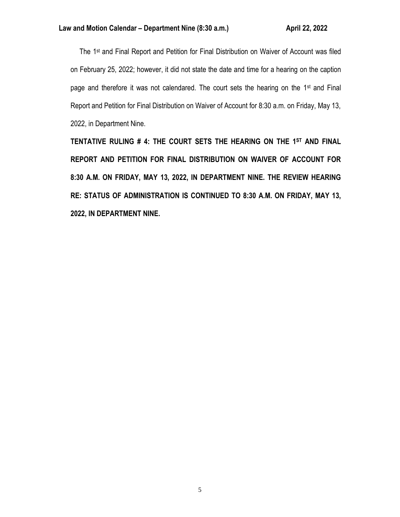The 1<sup>st</sup> and Final Report and Petition for Final Distribution on Waiver of Account was filed on February 25, 2022; however, it did not state the date and time for a hearing on the caption page and therefore it was not calendared. The court sets the hearing on the 1<sup>st</sup> and Final Report and Petition for Final Distribution on Waiver of Account for 8:30 a.m. on Friday, May 13, 2022, in Department Nine.

**TENTATIVE RULING # 4: THE COURT SETS THE HEARING ON THE 1ST AND FINAL REPORT AND PETITION FOR FINAL DISTRIBUTION ON WAIVER OF ACCOUNT FOR 8:30 A.M. ON FRIDAY, MAY 13, 2022, IN DEPARTMENT NINE. THE REVIEW HEARING RE: STATUS OF ADMINISTRATION IS CONTINUED TO 8:30 A.M. ON FRIDAY, MAY 13, 2022, IN DEPARTMENT NINE.**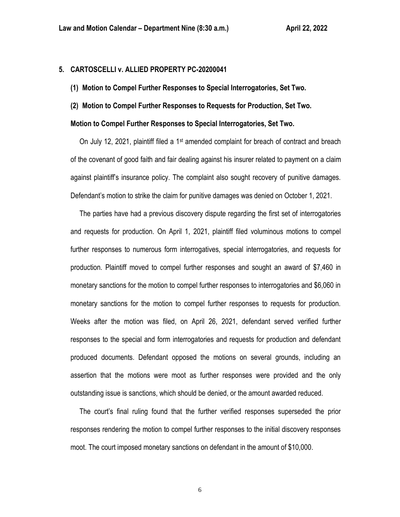# **5. CARTOSCELLI v. ALLIED PROPERTY PC-20200041**

- **(1) Motion to Compel Further Responses to Special Interrogatories, Set Two.**
- **(2) Motion to Compel Further Responses to Requests for Production, Set Two.**

## **Motion to Compel Further Responses to Special Interrogatories, Set Two.**

On July 12, 2021, plaintiff filed a 1<sup>st</sup> amended complaint for breach of contract and breach of the covenant of good faith and fair dealing against his insurer related to payment on a claim against plaintiff's insurance policy. The complaint also sought recovery of punitive damages. Defendant's motion to strike the claim for punitive damages was denied on October 1, 2021.

 The parties have had a previous discovery dispute regarding the first set of interrogatories and requests for production. On April 1, 2021, plaintiff filed voluminous motions to compel further responses to numerous form interrogatives, special interrogatories, and requests for production. Plaintiff moved to compel further responses and sought an award of \$7,460 in monetary sanctions for the motion to compel further responses to interrogatories and \$6,060 in monetary sanctions for the motion to compel further responses to requests for production. Weeks after the motion was filed, on April 26, 2021, defendant served verified further responses to the special and form interrogatories and requests for production and defendant produced documents. Defendant opposed the motions on several grounds, including an assertion that the motions were moot as further responses were provided and the only outstanding issue is sanctions, which should be denied, or the amount awarded reduced.

 The court's final ruling found that the further verified responses superseded the prior responses rendering the motion to compel further responses to the initial discovery responses moot. The court imposed monetary sanctions on defendant in the amount of \$10,000.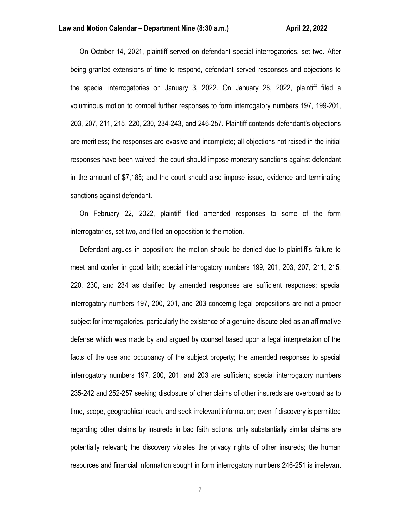### **Law and Motion Calendar – Department Nine (8:30 a.m.) <b>All Accord Accord Accord Accord Accord Accord Accord Accord**

 On October 14, 2021, plaintiff served on defendant special interrogatories, set two. After being granted extensions of time to respond, defendant served responses and objections to the special interrogatories on January 3, 2022. On January 28, 2022, plaintiff filed a voluminous motion to compel further responses to form interrogatory numbers 197, 199-201, 203, 207, 211, 215, 220, 230, 234-243, and 246-257. Plaintiff contends defendant's objections are meritless; the responses are evasive and incomplete; all objections not raised in the initial responses have been waived; the court should impose monetary sanctions against defendant in the amount of \$7,185; and the court should also impose issue, evidence and terminating sanctions against defendant.

 On February 22, 2022, plaintiff filed amended responses to some of the form interrogatories, set two, and filed an opposition to the motion.

 Defendant argues in opposition: the motion should be denied due to plaintiff's failure to meet and confer in good faith; special interrogatory numbers 199, 201, 203, 207, 211, 215, 220, 230, and 234 as clarified by amended responses are sufficient responses; special interrogatory numbers 197, 200, 201, and 203 concernig legal propositions are not a proper subject for interrogatories, particularly the existence of a genuine dispute pled as an affirmative defense which was made by and argued by counsel based upon a legal interpretation of the facts of the use and occupancy of the subject property; the amended responses to special interrogatory numbers 197, 200, 201, and 203 are sufficient; special interrogatory numbers 235-242 and 252-257 seeking disclosure of other claims of other insureds are overboard as to time, scope, geographical reach, and seek irrelevant information; even if discovery is permitted regarding other claims by insureds in bad faith actions, only substantially similar claims are potentially relevant; the discovery violates the privacy rights of other insureds; the human resources and financial information sought in form interrogatory numbers 246-251 is irrelevant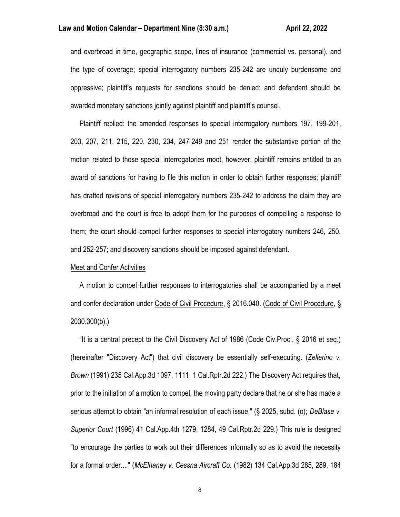and overbroad in time, geographic scope, lines of insurance (commercial vs. personal), and the type of coverage; special interrogatory numbers 235-242 are unduly burdensome and oppressive; plaintiff's requests for sanctions should be denied; and defendant should be awarded monetary sanctions jointly against plaintiff and plaintiff's counsel.

 Plaintiff replied: the amended responses to special interrogatory numbers 197, 199-201, 203, 207, 211, 215, 220, 230, 234, 247-249 and 251 render the substantive portion of the motion related to those special interrogatories moot, however, plaintiff remains entitled to an award of sanctions for having to file this motion in order to obtain further responses; plaintiff has drafted revisions of special interrogatory numbers 235-242 to address the claim they are overbroad and the court is free to adopt them for the purposes of compelling a response to them; the court should compel further responses to special interrogatory numbers 246, 250, and 252-257; and discovery sanctions should be imposed against defendant.

### Meet and Confer Activities

 A motion to compel further responses to interrogatories shall be accompanied by a meet and confer declaration under Code of Civil Procedure, § 2016.040. (Code of Civil Procedure, § 2030.300(b).)

 "It is a central precept to the Civil Discovery Act of 1986 (Code Civ.Proc., § 2016 et seq.) (hereinafter "Discovery Act") that civil discovery be essentially self-executing. (*Zellerino v. Brown* (1991) 235 Cal.App.3d 1097, 1111, 1 Cal.Rptr.2d 222.) The Discovery Act requires that, prior to the initiation of a motion to compel, the moving party declare that he or she has made a serious attempt to obtain "an informal resolution of each issue." (§ 2025, subd. (o); *DeBlase v. Superior Court* (1996) 41 Cal.App.4th 1279, 1284, 49 Cal.Rptr.2d 229.) This rule is designed "to encourage the parties to work out their differences informally so as to avoid the necessity for a formal order...." (*McElhaney v. Cessna Aircraft Co.* (1982) 134 Cal.App.3d 285, 289, 184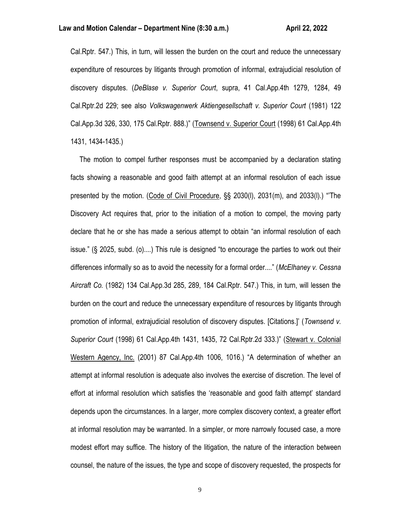Cal.Rptr. 547.) This, in turn, will lessen the burden on the court and reduce the unnecessary expenditure of resources by litigants through promotion of informal, extrajudicial resolution of discovery disputes. (*DeBlase v. Superior Court*, supra, 41 Cal.App.4th 1279, 1284, 49 Cal.Rptr.2d 229; see also *Volkswagenwerk Aktiengesellschaft v. Superior Court* (1981) 122 Cal.App.3d 326, 330, 175 Cal.Rptr. 888.)" (Townsend v. Superior Court (1998) 61 Cal.App.4th 1431, 1434-1435.)

 The motion to compel further responses must be accompanied by a declaration stating facts showing a reasonable and good faith attempt at an informal resolution of each issue presented by the motion. (Code of Civil Procedure, §§ 2030(l), 2031(m), and 2033(l).) "'The Discovery Act requires that, prior to the initiation of a motion to compel, the moving party declare that he or she has made a serious attempt to obtain "an informal resolution of each issue." (§ 2025, subd. (o)....) This rule is designed "to encourage the parties to work out their differences informally so as to avoid the necessity for a formal order...." (*McElhaney v. Cessna Aircraft Co.* (1982) 134 Cal.App.3d 285, 289, 184 Cal.Rptr. 547.) This, in turn, will lessen the burden on the court and reduce the unnecessary expenditure of resources by litigants through promotion of informal, extrajudicial resolution of discovery disputes. [Citations.]' (*Townsend v. Superior Court* (1998) 61 Cal.App.4th 1431, 1435, 72 Cal.Rptr.2d 333.)" (Stewart v. Colonial Western Agency, Inc. (2001) 87 Cal.App.4th 1006, 1016.) "A determination of whether an attempt at informal resolution is adequate also involves the exercise of discretion. The level of effort at informal resolution which satisfies the 'reasonable and good faith attempt' standard depends upon the circumstances. In a larger, more complex discovery context, a greater effort at informal resolution may be warranted. In a simpler, or more narrowly focused case, a more modest effort may suffice. The history of the litigation, the nature of the interaction between counsel, the nature of the issues, the type and scope of discovery requested, the prospects for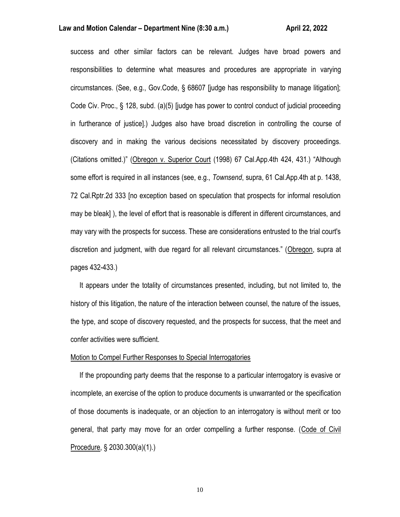### **Law and Motion Calendar – Department Nine (8:30 a.m.) <b>All Accord Accord Accord Accord Accord Accord Accord Accord**

success and other similar factors can be relevant. Judges have broad powers and responsibilities to determine what measures and procedures are appropriate in varying circumstances. (See, e.g., Gov.Code, § 68607 [judge has responsibility to manage litigation]; Code Civ. Proc., § 128, subd. (a)(5) [judge has power to control conduct of judicial proceeding in furtherance of justice].) Judges also have broad discretion in controlling the course of discovery and in making the various decisions necessitated by discovery proceedings. (Citations omitted.)" (Obregon v. Superior Court (1998) 67 Cal.App.4th 424, 431.) "Although some effort is required in all instances (see, e.g., *Townsend*, supra, 61 Cal.App.4th at p. 1438, 72 Cal.Rptr.2d 333 [no exception based on speculation that prospects for informal resolution may be bleak] ), the level of effort that is reasonable is different in different circumstances, and may vary with the prospects for success. These are considerations entrusted to the trial court's discretion and judgment, with due regard for all relevant circumstances." (Obregon, supra at pages 432-433.)

 It appears under the totality of circumstances presented, including, but not limited to, the history of this litigation, the nature of the interaction between counsel, the nature of the issues, the type, and scope of discovery requested, and the prospects for success, that the meet and confer activities were sufficient.

### Motion to Compel Further Responses to Special Interrogatories

 If the propounding party deems that the response to a particular interrogatory is evasive or incomplete, an exercise of the option to produce documents is unwarranted or the specification of those documents is inadequate, or an objection to an interrogatory is without merit or too general, that party may move for an order compelling a further response. (Code of Civil Procedure, § 2030.300(a)(1).)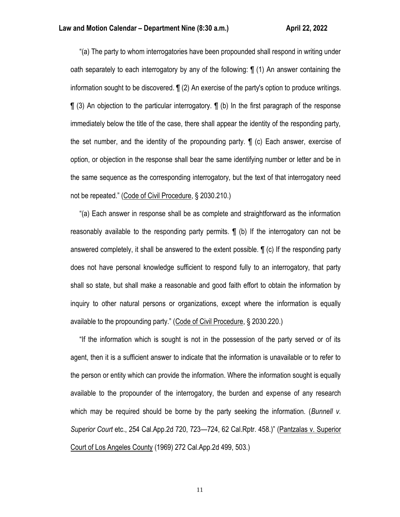"(a) The party to whom interrogatories have been propounded shall respond in writing under oath separately to each interrogatory by any of the following: ¶ (1) An answer containing the information sought to be discovered. ¶ (2) An exercise of the party's option to produce writings. ¶ (3) An objection to the particular interrogatory. ¶ (b) In the first paragraph of the response immediately below the title of the case, there shall appear the identity of the responding party, the set number, and the identity of the propounding party. ¶ (c) Each answer, exercise of option, or objection in the response shall bear the same identifying number or letter and be in the same sequence as the corresponding interrogatory, but the text of that interrogatory need not be repeated." (Code of Civil Procedure, § 2030.210.)

 "(a) Each answer in response shall be as complete and straightforward as the information reasonably available to the responding party permits. **[**] (b) If the interrogatory can not be answered completely, it shall be answered to the extent possible. ¶ (c) If the responding party does not have personal knowledge sufficient to respond fully to an interrogatory, that party shall so state, but shall make a reasonable and good faith effort to obtain the information by inquiry to other natural persons or organizations, except where the information is equally available to the propounding party." (Code of Civil Procedure, § 2030.220.)

 "If the information which is sought is not in the possession of the party served or of its agent, then it is a sufficient answer to indicate that the information is unavailable or to refer to the person or entity which can provide the information. Where the information sought is equally available to the propounder of the interrogatory, the burden and expense of any research which may be required should be borne by the party seeking the information. (*Bunnell v. Superior Court* etc., 254 Cal.App.2d 720, 723—724, 62 Cal.Rptr. 458.)" (Pantzalas v. Superior Court of Los Angeles County (1969) 272 Cal.App.2d 499, 503.)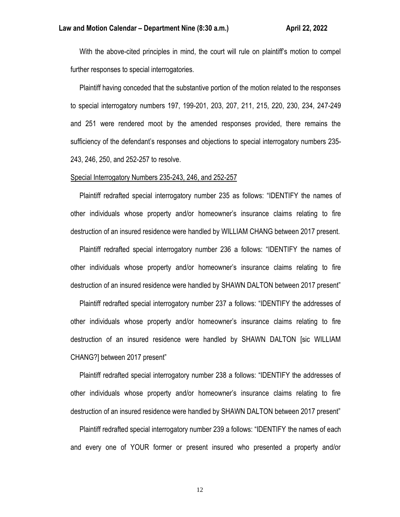With the above-cited principles in mind, the court will rule on plaintiff's motion to compel further responses to special interrogatories.

 Plaintiff having conceded that the substantive portion of the motion related to the responses to special interrogatory numbers 197, 199-201, 203, 207, 211, 215, 220, 230, 234, 247-249 and 251 were rendered moot by the amended responses provided, there remains the sufficiency of the defendant's responses and objections to special interrogatory numbers 235- 243, 246, 250, and 252-257 to resolve.

#### Special Interrogatory Numbers 235-243, 246, and 252-257

 Plaintiff redrafted special interrogatory number 235 as follows: "IDENTIFY the names of other individuals whose property and/or homeowner's insurance claims relating to fire destruction of an insured residence were handled by WILLIAM CHANG between 2017 present.

 Plaintiff redrafted special interrogatory number 236 a follows: "IDENTIFY the names of other individuals whose property and/or homeowner's insurance claims relating to fire destruction of an insured residence were handled by SHAWN DALTON between 2017 present"

 Plaintiff redrafted special interrogatory number 237 a follows: "IDENTIFY the addresses of other individuals whose property and/or homeowner's insurance claims relating to fire destruction of an insured residence were handled by SHAWN DALTON [sic WILLIAM CHANG?] between 2017 present"

 Plaintiff redrafted special interrogatory number 238 a follows: "IDENTIFY the addresses of other individuals whose property and/or homeowner's insurance claims relating to fire destruction of an insured residence were handled by SHAWN DALTON between 2017 present"

 Plaintiff redrafted special interrogatory number 239 a follows: "IDENTIFY the names of each and every one of YOUR former or present insured who presented a property and/or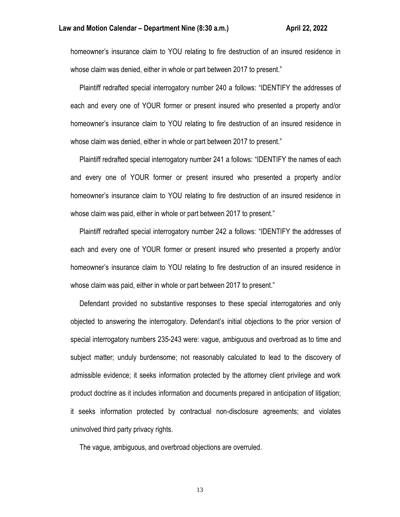homeowner's insurance claim to YOU relating to fire destruction of an insured residence in whose claim was denied, either in whole or part between 2017 to present."

 Plaintiff redrafted special interrogatory number 240 a follows: "IDENTIFY the addresses of each and every one of YOUR former or present insured who presented a property and/or homeowner's insurance claim to YOU relating to fire destruction of an insured residence in whose claim was denied, either in whole or part between 2017 to present."

 Plaintiff redrafted special interrogatory number 241 a follows: "IDENTIFY the names of each and every one of YOUR former or present insured who presented a property and/or homeowner's insurance claim to YOU relating to fire destruction of an insured residence in whose claim was paid, either in whole or part between 2017 to present."

 Plaintiff redrafted special interrogatory number 242 a follows: "IDENTIFY the addresses of each and every one of YOUR former or present insured who presented a property and/or homeowner's insurance claim to YOU relating to fire destruction of an insured residence in whose claim was paid, either in whole or part between 2017 to present."

 Defendant provided no substantive responses to these special interrogatories and only objected to answering the interrogatory. Defendant's initial objections to the prior version of special interrogatory numbers 235-243 were: vague, ambiguous and overbroad as to time and subject matter; unduly burdensome; not reasonably calculated to lead to the discovery of admissible evidence; it seeks information protected by the attorney client privilege and work product doctrine as it includes information and documents prepared in anticipation of litigation; it seeks information protected by contractual non-disclosure agreements; and violates uninvolved third party privacy rights.

The vague, ambiguous, and overbroad objections are overruled.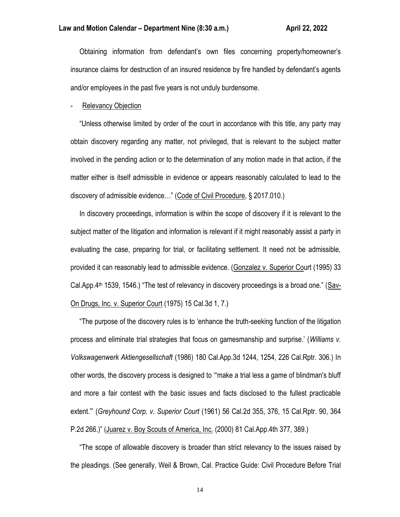Obtaining information from defendant's own files concerning property/homeowner's insurance claims for destruction of an insured residence by fire handled by defendant's agents and/or employees in the past five years is not unduly burdensome.

#### Relevancy Objection

 "Unless otherwise limited by order of the court in accordance with this title, any party may obtain discovery regarding any matter, not privileged, that is relevant to the subject matter involved in the pending action or to the determination of any motion made in that action, if the matter either is itself admissible in evidence or appears reasonably calculated to lead to the discovery of admissible evidence…" (Code of Civil Procedure, § 2017.010.)

 In discovery proceedings, information is within the scope of discovery if it is relevant to the subject matter of the litigation and information is relevant if it might reasonably assist a party in evaluating the case, preparing for trial, or facilitating settlement. It need not be admissible, provided it can reasonably lead to admissible evidence. (Gonzalez v. Superior Court (1995) 33 Cal.App.4<sup>th</sup> 1539, 1546.) "The test of relevancy in discovery proceedings is a broad one." (Sav-On Drugs, Inc. v. Superior Court (1975) 15 Cal.3d 1, 7.)

 "The purpose of the discovery rules is to 'enhance the truth-seeking function of the litigation process and eliminate trial strategies that focus on gamesmanship and surprise.' (*Williams v. Volkswagenwerk Aktiengesellschaft* (1986) 180 Cal.App.3d 1244, 1254, 226 Cal.Rptr. 306.) In other words, the discovery process is designed to '"make a trial less a game of blindman's bluff and more a fair contest with the basic issues and facts disclosed to the fullest practicable extent."' (*Greyhound Corp. v. Superior Court* (1961) 56 Cal.2d 355, 376, 15 Cal.Rptr. 90, 364 P.2d 266.)" (Juarez v. Boy Scouts of America, Inc. (2000) 81 Cal.App.4th 377, 389.)

 "The scope of allowable discovery is broader than strict relevancy to the issues raised by the pleadings. (See generally, Weil & Brown, Cal. Practice Guide: Civil Procedure Before Trial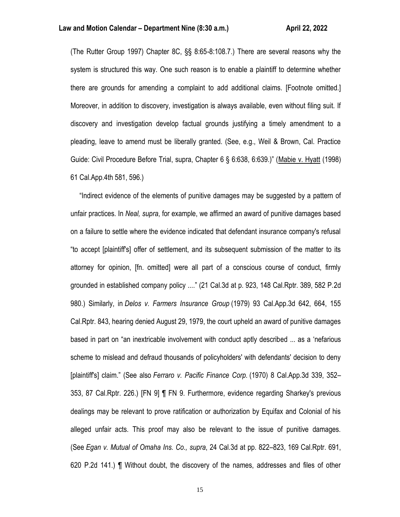(The Rutter Group 1997) Chapter 8C, §§ 8:65-8:108.7.) There are several reasons why the system is structured this way. One such reason is to enable a plaintiff to determine whether there are grounds for amending a complaint to add additional claims. [Footnote omitted.] Moreover, in addition to discovery, investigation is always available, even without filing suit. If discovery and investigation develop factual grounds justifying a timely amendment to a pleading, leave to amend must be liberally granted. (See, e.g., Weil & Brown, Cal. Practice Guide: Civil Procedure Before Trial, supra, Chapter 6 § 6:638, 6:639.)" (Mabie v. Hyatt (1998) 61 Cal.App.4th 581, 596.)

 "Indirect evidence of the elements of punitive damages may be suggested by a pattern of unfair practices. In *Neal, supra*, for example, we affirmed an award of punitive damages based on a failure to settle where the evidence indicated that defendant insurance company's refusal "to accept [plaintiff's] offer of settlement, and its subsequent submission of the matter to its attorney for opinion, [fn. omitted] were all part of a conscious course of conduct, firmly grounded in established company policy ...." (21 Cal.3d at p. 923, 148 Cal.Rptr. 389, 582 P.2d 980.) Similarly, in *Delos v. Farmers Insurance Group* (1979) 93 Cal.App.3d 642, 664, 155 Cal.Rptr. 843, hearing denied August 29, 1979, the court upheld an award of punitive damages based in part on "an inextricable involvement with conduct aptly described ... as a 'nefarious scheme to mislead and defraud thousands of policyholders' with defendants' decision to deny [plaintiff's] claim." (See also *Ferraro v. Pacific Finance Corp.* (1970) 8 Cal.App.3d 339, 352– 353, 87 Cal.Rptr. 226.) [FN 9] ¶ FN 9. Furthermore, evidence regarding Sharkey's previous dealings may be relevant to prove ratification or authorization by Equifax and Colonial of his alleged unfair acts. This proof may also be relevant to the issue of punitive damages. (See *Egan v. Mutual of Omaha Ins. Co., supra*, 24 Cal.3d at pp. 822–823, 169 Cal.Rptr. 691, 620 P.2d 141.) ¶ Without doubt, the discovery of the names, addresses and files of other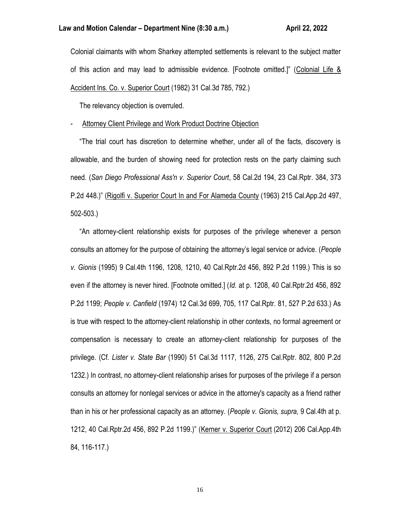Colonial claimants with whom Sharkey attempted settlements is relevant to the subject matter of this action and may lead to admissible evidence. [Footnote omitted.]" (Colonial Life & Accident Ins. Co. v. Superior Court (1982) 31 Cal.3d 785, 792.)

The relevancy objection is overruled.

## Attorney Client Privilege and Work Product Doctrine Objection

 "The trial court has discretion to determine whether, under all of the facts, discovery is allowable, and the burden of showing need for protection rests on the party claiming such need. (*San Diego Professional Ass'n v. Superior Court*, 58 Cal.2d 194, 23 Cal.Rptr. 384, 373 P.2d 448.)" (Rigolfi v. Superior Court In and For Alameda County (1963) 215 Cal.App.2d 497, 502-503.)

 "An attorney-client relationship exists for purposes of the privilege whenever a person consults an attorney for the purpose of obtaining the attorney's legal service or advice. (*People v. Gionis* (1995) 9 Cal.4th 1196, 1208, 1210, 40 Cal.Rptr.2d 456, 892 P.2d 1199.) This is so even if the attorney is never hired. [Footnote omitted.] (*Id.* at p. 1208, 40 Cal.Rptr.2d 456, 892 P.2d 1199; *People v. Canfield* (1974) 12 Cal.3d 699, 705, 117 Cal.Rptr. 81, 527 P.2d 633.) As is true with respect to the attorney-client relationship in other contexts, no formal agreement or compensation is necessary to create an attorney-client relationship for purposes of the privilege. (Cf. *Lister v. State Bar* (1990) 51 Cal.3d 1117, 1126, 275 Cal.Rptr. 802, 800 P.2d 1232.) In contrast, no attorney-client relationship arises for purposes of the privilege if a person consults an attorney for nonlegal services or advice in the attorney's capacity as a friend rather than in his or her professional capacity as an attorney. (*People v. Gionis, supra,* 9 Cal.4th at p. 1212, 40 Cal.Rptr.2d 456, 892 P.2d 1199.)" (Kerner v. Superior Court (2012) 206 Cal.App.4th 84, 116-117.)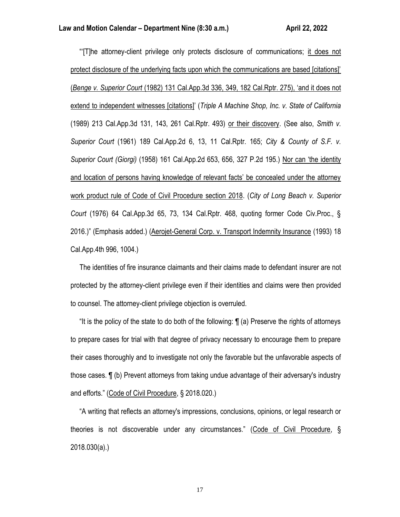"'[T]he attorney-client privilege only protects disclosure of communications; it does not protect disclosure of the underlying facts upon which the communications are based [citations]' (*Benge v. Superior Court* (1982) 131 Cal.App.3d 336, 349, 182 Cal.Rptr. 275), 'and it does not extend to independent witnesses [citations]' (*Triple A Machine Shop, Inc. v. State of California* (1989) 213 Cal.App.3d 131, 143, 261 Cal.Rptr. 493) or their discovery. (See also, *Smith v. Superior Court* (1961) 189 Cal.App.2d 6, 13, 11 Cal.Rptr. 165; *City & County of S.F. v. Superior Court (Giorgi)* (1958) 161 Cal.App.2d 653, 656, 327 P.2d 195.) Nor can 'the identity and location of persons having knowledge of relevant facts' be concealed under the attorney work product rule of Code of Civil Procedure section 2018. (*City of Long Beach v. Superior Court* (1976) 64 Cal.App.3d 65, 73, 134 Cal.Rptr. 468, quoting former Code Civ.Proc., § 2016.)" (Emphasis added.) (Aerojet-General Corp. v. Transport Indemnity Insurance (1993) 18 Cal.App.4th 996, 1004.)

 The identities of fire insurance claimants and their claims made to defendant insurer are not protected by the attorney-client privilege even if their identities and claims were then provided to counsel. The attorney-client privilege objection is overruled.

 "It is the policy of the state to do both of the following: ¶ (a) Preserve the rights of attorneys to prepare cases for trial with that degree of privacy necessary to encourage them to prepare their cases thoroughly and to investigate not only the favorable but the unfavorable aspects of those cases. ¶ (b) Prevent attorneys from taking undue advantage of their adversary's industry and efforts." (Code of Civil Procedure, § 2018.020.)

 "A writing that reflects an attorney's impressions, conclusions, opinions, or legal research or theories is not discoverable under any circumstances." (Code of Civil Procedure, § 2018.030(a).)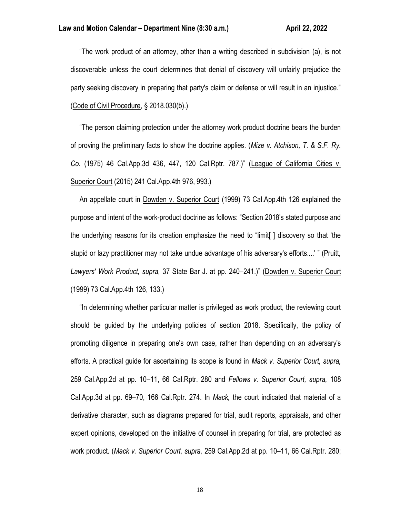"The work product of an attorney, other than a writing described in subdivision (a), is not discoverable unless the court determines that denial of discovery will unfairly prejudice the party seeking discovery in preparing that party's claim or defense or will result in an injustice." (Code of Civil Procedure, § 2018.030(b).)

 "The person claiming protection under the attorney work product doctrine bears the burden of proving the preliminary facts to show the doctrine applies. (*Mize v. Atchison, T. & S.F. Ry. Co.* (1975) 46 Cal.App.3d 436, 447, 120 Cal.Rptr. 787.)" (League of California Cities v. Superior Court (2015) 241 Cal.App.4th 976, 993.)

 An appellate court in Dowden v. Superior Court (1999) 73 Cal.App.4th 126 explained the purpose and intent of the work-product doctrine as follows: "Section 2018's stated purpose and the underlying reasons for its creation emphasize the need to "limit[ ] discovery so that 'the stupid or lazy practitioner may not take undue advantage of his adversary's efforts....' " (Pruitt, *Lawyers' Work Product, supra,* 37 State Bar J. at pp. 240–241.)" (Dowden v. Superior Court (1999) 73 Cal.App.4th 126, 133.)

 "In determining whether particular matter is privileged as work product, the reviewing court should be guided by the underlying policies of section 2018. Specifically, the policy of promoting diligence in preparing one's own case, rather than depending on an adversary's efforts. A practical guide for ascertaining its scope is found in *Mack v. Superior Court, supra,* 259 Cal.App.2d at pp. 10–11, 66 Cal.Rptr. 280 and *Fellows v. Superior Court, supra,* 108 Cal.App.3d at pp. 69–70, 166 Cal.Rptr. 274. In *Mack,* the court indicated that material of a derivative character, such as diagrams prepared for trial, audit reports, appraisals, and other expert opinions, developed on the initiative of counsel in preparing for trial, are protected as work product. (*Mack v. Superior Court, supra,* 259 Cal.App.2d at pp. 10–11, 66 Cal.Rptr. 280;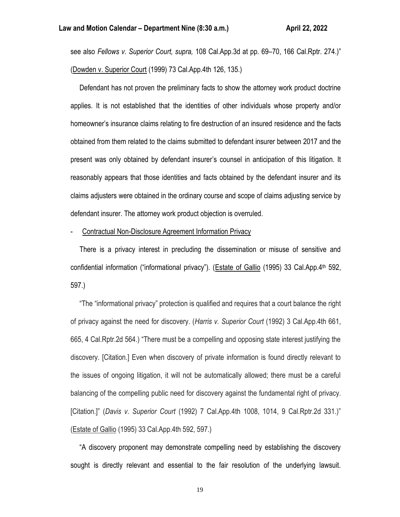see also *Fellows v. Superior Court, supra,* 108 Cal.App.3d at pp. 69–70, 166 Cal.Rptr. 274.)" (Dowden v. Superior Court (1999) 73 Cal.App.4th 126, 135.)

 Defendant has not proven the preliminary facts to show the attorney work product doctrine applies. It is not established that the identities of other individuals whose property and/or homeowner's insurance claims relating to fire destruction of an insured residence and the facts obtained from them related to the claims submitted to defendant insurer between 2017 and the present was only obtained by defendant insurer's counsel in anticipation of this litigation. It reasonably appears that those identities and facts obtained by the defendant insurer and its claims adjusters were obtained in the ordinary course and scope of claims adjusting service by defendant insurer. The attorney work product objection is overruled.

- Contractual Non-Disclosure Agreement Information Privacy

 There is a privacy interest in precluding the dissemination or misuse of sensitive and confidential information ("informational privacy"). (Estate of Gallio (1995) 33 Cal.App.4th 592, 597.)

 "The "informational privacy" protection is qualified and requires that a court balance the right of privacy against the need for discovery. (*Harris v. Superior Court* (1992) 3 Cal.App.4th 661, 665, 4 Cal.Rptr.2d 564.) "There must be a compelling and opposing state interest justifying the discovery. [Citation.] Even when discovery of private information is found directly relevant to the issues of ongoing litigation, it will not be automatically allowed; there must be a careful balancing of the compelling public need for discovery against the fundamental right of privacy. [Citation.]" (*Davis v. Superior Court* (1992) 7 Cal.App.4th 1008, 1014, 9 Cal.Rptr.2d 331.)" (Estate of Gallio (1995) 33 Cal.App.4th 592, 597.)

 "A discovery proponent may demonstrate compelling need by establishing the discovery sought is directly relevant and essential to the fair resolution of the underlying lawsuit.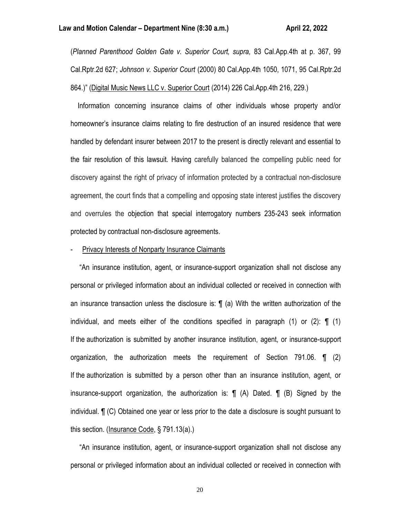(*Planned Parenthood Golden Gate v. Superior Court, supra,* 83 Cal.App.4th at p. 367, 99 Cal.Rptr.2d 627; *Johnson v. Superior Court* (2000) 80 Cal.App.4th 1050, 1071, 95 Cal.Rptr.2d 864.)" (Digital Music News LLC v. Superior Court (2014) 226 Cal.App.4th 216, 229.)

 Information concerning insurance claims of other individuals whose property and/or homeowner's insurance claims relating to fire destruction of an insured residence that were handled by defendant insurer between 2017 to the present is directly relevant and essential to the fair resolution of this lawsuit. Having carefully balanced the compelling public need for discovery against the right of privacy of information protected by a contractual non-disclosure agreement, the court finds that a compelling and opposing state interest justifies the discovery and overrules the objection that special interrogatory numbers 235-243 seek information protected by contractual non-disclosure agreements.

### Privacy Interests of Nonparty Insurance Claimants

 "An insurance institution, agent, or insurance-support organization shall not disclose any personal or privileged information about an individual collected or received in connection with an insurance transaction unless the disclosure is: ¶ (a) With the written authorization of the individual, and meets either of the conditions specified in paragraph (1) or (2):  $\P$  (1) If the authorization is submitted by another insurance institution, agent, or insurance-support organization, the authorization meets the requirement of Section 791.06. ¶ (2) If the authorization is submitted by a person other than an insurance institution, agent, or insurance-support organization, the authorization is: ¶ (A) Dated. ¶ (B) Signed by the individual. ¶ (C) Obtained one year or less prior to the date a disclosure is sought pursuant to this section. (Insurance Code, § 791.13(a).)

 "An insurance institution, agent, or insurance-support organization shall not disclose any personal or privileged information about an individual collected or received in connection with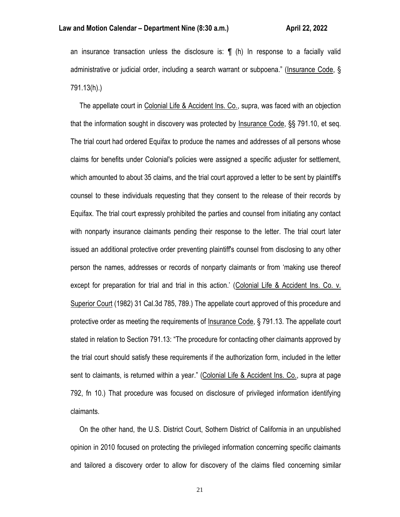an insurance transaction unless the disclosure is: ¶ (h) In response to a facially valid administrative or judicial order, including a search warrant or subpoena." (Insurance Code, § 791.13(h).)

 The appellate court in Colonial Life & Accident Ins. Co., supra, was faced with an objection that the information sought in discovery was protected by Insurance Code, §§ 791.10, et seq. The trial court had ordered Equifax to produce the names and addresses of all persons whose claims for benefits under Colonial's policies were assigned a specific adjuster for settlement, which amounted to about 35 claims, and the trial court approved a letter to be sent by plaintiff's counsel to these individuals requesting that they consent to the release of their records by Equifax. The trial court expressly prohibited the parties and counsel from initiating any contact with nonparty insurance claimants pending their response to the letter. The trial court later issued an additional protective order preventing plaintiff's counsel from disclosing to any other person the names, addresses or records of nonparty claimants or from 'making use thereof except for preparation for trial and trial in this action.' (Colonial Life & Accident Ins. Co. v. Superior Court (1982) 31 Cal.3d 785, 789.) The appellate court approved of this procedure and protective order as meeting the requirements of Insurance Code, § 791.13. The appellate court stated in relation to Section 791.13: "The procedure for contacting other claimants approved by the trial court should satisfy these requirements if the authorization form, included in the letter sent to claimants, is returned within a year." (Colonial Life & Accident Ins. Co., supra at page 792, fn 10.) That procedure was focused on disclosure of privileged information identifying claimants.

 On the other hand, the U.S. District Court, Sothern District of California in an unpublished opinion in 2010 focused on protecting the privileged information concerning specific claimants and tailored a discovery order to allow for discovery of the claims filed concerning similar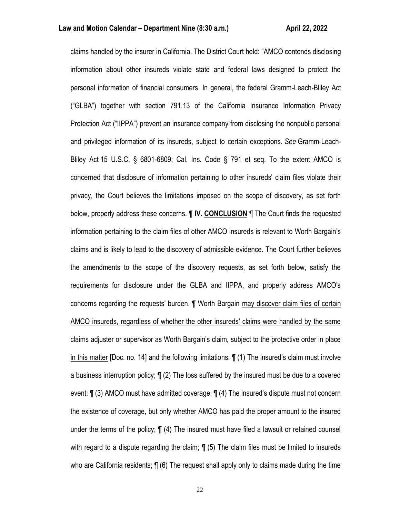claims handled by the insurer in California. The District Court held: "AMCO contends disclosing information about other insureds violate state and federal laws designed to protect the personal information of financial consumers. In general, the federal Gramm-Leach-Bliley Act ("GLBA") together with section 791.13 of the California Insurance Information Privacy Protection Act ("IIPPA") prevent an insurance company from disclosing the nonpublic personal and privileged information of its insureds, subject to certain exceptions. *See* Gramm-Leach-Bliley Act 15 U.S.C. § 6801-6809; Cal. Ins. Code § 791 et seq. To the extent AMCO is concerned that disclosure of information pertaining to other insureds' claim files violate their privacy, the Court believes the limitations imposed on the scope of discovery, as set forth below, properly address these concerns. ¶ **IV. CONCLUSION** ¶ The Court finds the requested information pertaining to the claim files of other AMCO insureds is relevant to Worth Bargain's claims and is likely to lead to the discovery of admissible evidence. The Court further believes the amendments to the scope of the discovery requests, as set forth below, satisfy the requirements for disclosure under the GLBA and IIPPA, and properly address AMCO's concerns regarding the requests' burden. ¶ Worth Bargain may discover claim files of certain AMCO insureds, regardless of whether the other insureds' claims were handled by the same claims adjuster or supervisor as Worth Bargain's claim, subject to the protective order in place in this matter [Doc. no. 14] and the following limitations: ¶ (1) The insured's claim must involve a business interruption policy; ¶ (2) The loss suffered by the insured must be due to a covered event; ¶ (3) AMCO must have admitted coverage; ¶ (4) The insured's dispute must not concern the existence of coverage, but only whether AMCO has paid the proper amount to the insured under the terms of the policy; ¶ (4) The insured must have filed a lawsuit or retained counsel with regard to a dispute regarding the claim;  $\P$  (5) The claim files must be limited to insureds who are California residents; ¶ (6) The request shall apply only to claims made during the time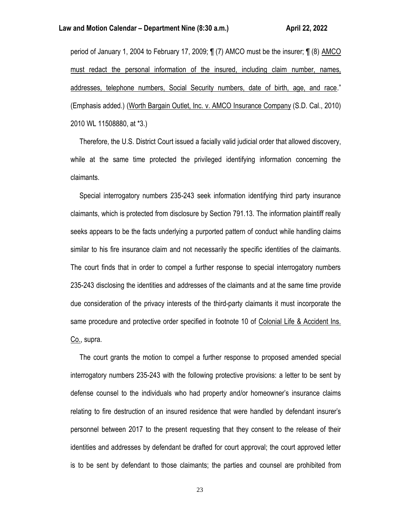### **Law and Motion Calendar – Department Nine (8:30 a.m.) <b>All Accord Accord Accord Accord Accord Accord Accord Accord**

period of January 1, 2004 to February 17, 2009; ¶ (7) AMCO must be the insurer; ¶ (8) AMCO must redact the personal information of the insured, including claim number, names, addresses, telephone numbers, Social Security numbers, date of birth, age, and race." (Emphasis added.) (Worth Bargain Outlet, Inc. v. AMCO Insurance Company (S.D. Cal., 2010) 2010 WL 11508880, at \*3.)

 Therefore, the U.S. District Court issued a facially valid judicial order that allowed discovery, while at the same time protected the privileged identifying information concerning the claimants.

 Special interrogatory numbers 235-243 seek information identifying third party insurance claimants, which is protected from disclosure by Section 791.13. The information plaintiff really seeks appears to be the facts underlying a purported pattern of conduct while handling claims similar to his fire insurance claim and not necessarily the specific identities of the claimants. The court finds that in order to compel a further response to special interrogatory numbers 235-243 disclosing the identities and addresses of the claimants and at the same time provide due consideration of the privacy interests of the third-party claimants it must incorporate the same procedure and protective order specified in footnote 10 of Colonial Life & Accident Ins. Co., supra.

 The court grants the motion to compel a further response to proposed amended special interrogatory numbers 235-243 with the following protective provisions: a letter to be sent by defense counsel to the individuals who had property and/or homeowner's insurance claims relating to fire destruction of an insured residence that were handled by defendant insurer's personnel between 2017 to the present requesting that they consent to the release of their identities and addresses by defendant be drafted for court approval; the court approved letter is to be sent by defendant to those claimants; the parties and counsel are prohibited from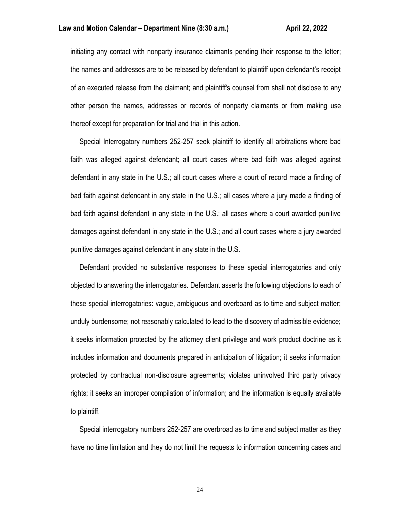initiating any contact with nonparty insurance claimants pending their response to the letter; the names and addresses are to be released by defendant to plaintiff upon defendant's receipt of an executed release from the claimant; and plaintiff's counsel from shall not disclose to any other person the names, addresses or records of nonparty claimants or from making use thereof except for preparation for trial and trial in this action.

 Special Interrogatory numbers 252-257 seek plaintiff to identify all arbitrations where bad faith was alleged against defendant; all court cases where bad faith was alleged against defendant in any state in the U.S.; all court cases where a court of record made a finding of bad faith against defendant in any state in the U.S.; all cases where a jury made a finding of bad faith against defendant in any state in the U.S.; all cases where a court awarded punitive damages against defendant in any state in the U.S.; and all court cases where a jury awarded punitive damages against defendant in any state in the U.S.

 Defendant provided no substantive responses to these special interrogatories and only objected to answering the interrogatories. Defendant asserts the following objections to each of these special interrogatories: vague, ambiguous and overboard as to time and subject matter; unduly burdensome; not reasonably calculated to lead to the discovery of admissible evidence; it seeks information protected by the attorney client privilege and work product doctrine as it includes information and documents prepared in anticipation of litigation; it seeks information protected by contractual non-disclosure agreements; violates uninvolved third party privacy rights; it seeks an improper compilation of information; and the information is equally available to plaintiff.

 Special interrogatory numbers 252-257 are overbroad as to time and subject matter as they have no time limitation and they do not limit the requests to information concerning cases and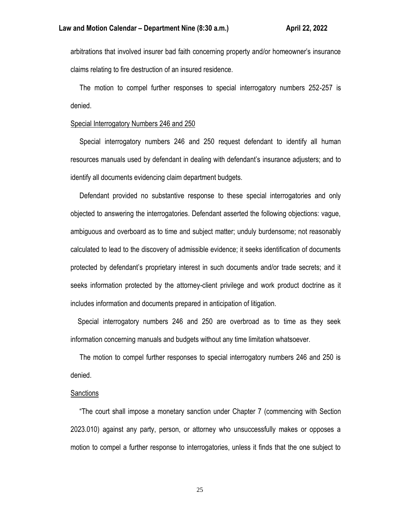arbitrations that involved insurer bad faith concerning property and/or homeowner's insurance claims relating to fire destruction of an insured residence.

 The motion to compel further responses to special interrogatory numbers 252-257 is denied.

### Special Interrogatory Numbers 246 and 250

 Special interrogatory numbers 246 and 250 request defendant to identify all human resources manuals used by defendant in dealing with defendant's insurance adjusters; and to identify all documents evidencing claim department budgets.

 Defendant provided no substantive response to these special interrogatories and only objected to answering the interrogatories. Defendant asserted the following objections: vague, ambiguous and overboard as to time and subject matter; unduly burdensome; not reasonably calculated to lead to the discovery of admissible evidence; it seeks identification of documents protected by defendant's proprietary interest in such documents and/or trade secrets; and it seeks information protected by the attorney-client privilege and work product doctrine as it includes information and documents prepared in anticipation of litigation.

 Special interrogatory numbers 246 and 250 are overbroad as to time as they seek information concerning manuals and budgets without any time limitation whatsoever.

 The motion to compel further responses to special interrogatory numbers 246 and 250 is denied.

## **Sanctions**

 "The court shall impose a monetary sanction under Chapter 7 (commencing with Section 2023.010) against any party, person, or attorney who unsuccessfully makes or opposes a motion to compel a further response to interrogatories, unless it finds that the one subject to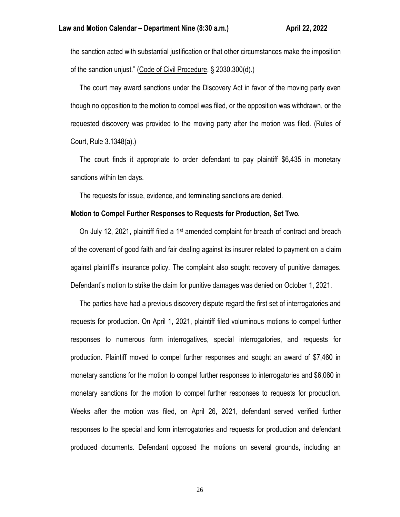the sanction acted with substantial justification or that other circumstances make the imposition of the sanction unjust." (Code of Civil Procedure, § 2030.300(d).)

 The court may award sanctions under the Discovery Act in favor of the moving party even though no opposition to the motion to compel was filed, or the opposition was withdrawn, or the requested discovery was provided to the moving party after the motion was filed. (Rules of Court, Rule 3.1348(a).)

 The court finds it appropriate to order defendant to pay plaintiff \$6,435 in monetary sanctions within ten days.

The requests for issue, evidence, and terminating sanctions are denied.

### **Motion to Compel Further Responses to Requests for Production, Set Two.**

On July 12, 2021, plaintiff filed a 1<sup>st</sup> amended complaint for breach of contract and breach of the covenant of good faith and fair dealing against its insurer related to payment on a claim against plaintiff's insurance policy. The complaint also sought recovery of punitive damages. Defendant's motion to strike the claim for punitive damages was denied on October 1, 2021.

 The parties have had a previous discovery dispute regard the first set of interrogatories and requests for production. On April 1, 2021, plaintiff filed voluminous motions to compel further responses to numerous form interrogatives, special interrogatories, and requests for production. Plaintiff moved to compel further responses and sought an award of \$7,460 in monetary sanctions for the motion to compel further responses to interrogatories and \$6,060 in monetary sanctions for the motion to compel further responses to requests for production. Weeks after the motion was filed, on April 26, 2021, defendant served verified further responses to the special and form interrogatories and requests for production and defendant produced documents. Defendant opposed the motions on several grounds, including an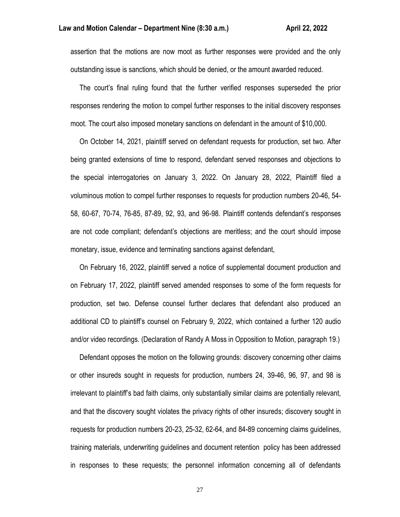assertion that the motions are now moot as further responses were provided and the only outstanding issue is sanctions, which should be denied, or the amount awarded reduced.

 The court's final ruling found that the further verified responses superseded the prior responses rendering the motion to compel further responses to the initial discovery responses moot. The court also imposed monetary sanctions on defendant in the amount of \$10,000.

 On October 14, 2021, plaintiff served on defendant requests for production, set two. After being granted extensions of time to respond, defendant served responses and objections to the special interrogatories on January 3, 2022. On January 28, 2022, Plaintiff filed a voluminous motion to compel further responses to requests for production numbers 20-46, 54- 58, 60-67, 70-74, 76-85, 87-89, 92, 93, and 96-98. Plaintiff contends defendant's responses are not code compliant; defendant's objections are meritless; and the court should impose monetary, issue, evidence and terminating sanctions against defendant,

 On February 16, 2022, plaintiff served a notice of supplemental document production and on February 17, 2022, plaintiff served amended responses to some of the form requests for production, set two. Defense counsel further declares that defendant also produced an additional CD to plaintiff's counsel on February 9, 2022, which contained a further 120 audio and/or video recordings. (Declaration of Randy A Moss in Opposition to Motion, paragraph 19.)

 Defendant opposes the motion on the following grounds: discovery concerning other claims or other insureds sought in requests for production, numbers 24, 39-46, 96, 97, and 98 is irrelevant to plaintiff's bad faith claims, only substantially similar claims are potentially relevant, and that the discovery sought violates the privacy rights of other insureds; discovery sought in requests for production numbers 20-23, 25-32, 62-64, and 84-89 concerning claims guidelines, training materials, underwriting guidelines and document retention policy has been addressed in responses to these requests; the personnel information concerning all of defendants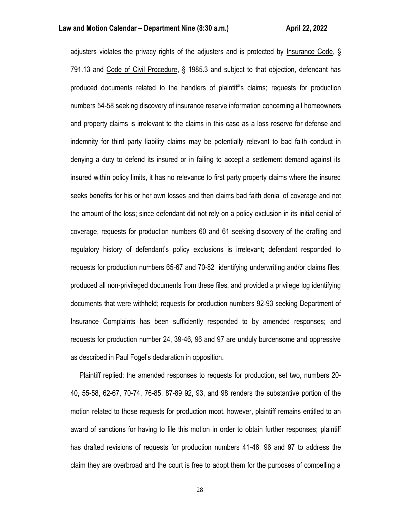adjusters violates the privacy rights of the adjusters and is protected by Insurance Code, § 791.13 and Code of Civil Procedure, § 1985.3 and subject to that objection, defendant has produced documents related to the handlers of plaintiff's claims; requests for production numbers 54-58 seeking discovery of insurance reserve information concerning all homeowners and property claims is irrelevant to the claims in this case as a loss reserve for defense and indemnity for third party liability claims may be potentially relevant to bad faith conduct in denying a duty to defend its insured or in failing to accept a settlement demand against its insured within policy limits, it has no relevance to first party property claims where the insured seeks benefits for his or her own losses and then claims bad faith denial of coverage and not the amount of the loss; since defendant did not rely on a policy exclusion in its initial denial of coverage, requests for production numbers 60 and 61 seeking discovery of the drafting and regulatory history of defendant's policy exclusions is irrelevant; defendant responded to requests for production numbers 65-67 and 70-82 identifying underwriting and/or claims files, produced all non-privileged documents from these files, and provided a privilege log identifying documents that were withheld; requests for production numbers 92-93 seeking Department of Insurance Complaints has been sufficiently responded to by amended responses; and requests for production number 24, 39-46, 96 and 97 are unduly burdensome and oppressive as described in Paul Fogel's declaration in opposition.

 Plaintiff replied: the amended responses to requests for production, set two, numbers 20- 40, 55-58, 62-67, 70-74, 76-85, 87-89 92, 93, and 98 renders the substantive portion of the motion related to those requests for production moot, however, plaintiff remains entitled to an award of sanctions for having to file this motion in order to obtain further responses; plaintiff has drafted revisions of requests for production numbers 41-46, 96 and 97 to address the claim they are overbroad and the court is free to adopt them for the purposes of compelling a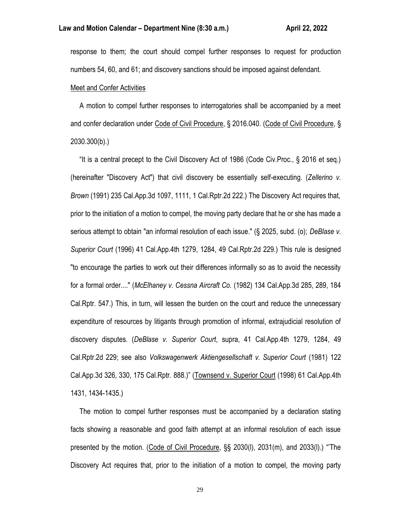response to them; the court should compel further responses to request for production numbers 54, 60, and 61; and discovery sanctions should be imposed against defendant.

### Meet and Confer Activities

 A motion to compel further responses to interrogatories shall be accompanied by a meet and confer declaration under Code of Civil Procedure, § 2016.040. (Code of Civil Procedure, § 2030.300(b).)

 "It is a central precept to the Civil Discovery Act of 1986 (Code Civ.Proc., § 2016 et seq.) (hereinafter "Discovery Act") that civil discovery be essentially self-executing. (*Zellerino v. Brown* (1991) 235 Cal.App.3d 1097, 1111, 1 Cal.Rptr.2d 222.) The Discovery Act requires that, prior to the initiation of a motion to compel, the moving party declare that he or she has made a serious attempt to obtain "an informal resolution of each issue." (§ 2025, subd. (o); *DeBlase v. Superior Court* (1996) 41 Cal.App.4th 1279, 1284, 49 Cal.Rptr.2d 229.) This rule is designed "to encourage the parties to work out their differences informally so as to avoid the necessity for a formal order...." (*McElhaney v. Cessna Aircraft Co.* (1982) 134 Cal.App.3d 285, 289, 184 Cal.Rptr. 547.) This, in turn, will lessen the burden on the court and reduce the unnecessary expenditure of resources by litigants through promotion of informal, extrajudicial resolution of discovery disputes. (*DeBlase v. Superior Court*, supra, 41 Cal.App.4th 1279, 1284, 49 Cal.Rptr.2d 229; see also *Volkswagenwerk Aktiengesellschaft v. Superior Court* (1981) 122 Cal.App.3d 326, 330, 175 Cal.Rptr. 888.)" (Townsend v. Superior Court (1998) 61 Cal.App.4th 1431, 1434-1435.)

 The motion to compel further responses must be accompanied by a declaration stating facts showing a reasonable and good faith attempt at an informal resolution of each issue presented by the motion. (Code of Civil Procedure, §§ 2030(l), 2031(m), and 2033(l).) "'The Discovery Act requires that, prior to the initiation of a motion to compel, the moving party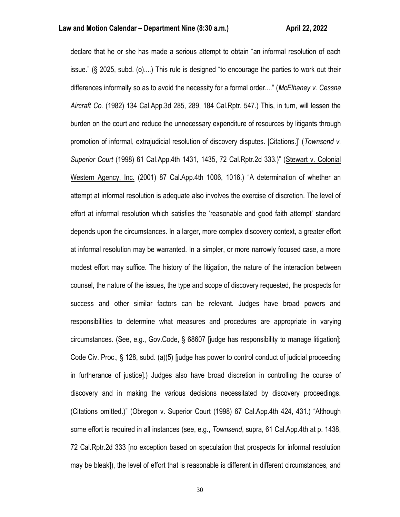declare that he or she has made a serious attempt to obtain "an informal resolution of each issue." (§ 2025, subd. (o)....) This rule is designed "to encourage the parties to work out their differences informally so as to avoid the necessity for a formal order...." (*McElhaney v. Cessna Aircraft Co.* (1982) 134 Cal.App.3d 285, 289, 184 Cal.Rptr. 547.) This, in turn, will lessen the burden on the court and reduce the unnecessary expenditure of resources by litigants through promotion of informal, extrajudicial resolution of discovery disputes. [Citations.]' (*Townsend v. Superior Court* (1998) 61 Cal.App.4th 1431, 1435, 72 Cal.Rptr.2d 333.)" (Stewart v. Colonial Western Agency, Inc. (2001) 87 Cal.App.4th 1006, 1016.) "A determination of whether an attempt at informal resolution is adequate also involves the exercise of discretion. The level of effort at informal resolution which satisfies the 'reasonable and good faith attempt' standard depends upon the circumstances. In a larger, more complex discovery context, a greater effort at informal resolution may be warranted. In a simpler, or more narrowly focused case, a more modest effort may suffice. The history of the litigation, the nature of the interaction between counsel, the nature of the issues, the type and scope of discovery requested, the prospects for success and other similar factors can be relevant. Judges have broad powers and responsibilities to determine what measures and procedures are appropriate in varying circumstances. (See, e.g., Gov.Code, § 68607 [judge has responsibility to manage litigation]; Code Civ. Proc., § 128, subd. (a)(5) [judge has power to control conduct of judicial proceeding in furtherance of justice].) Judges also have broad discretion in controlling the course of discovery and in making the various decisions necessitated by discovery proceedings. (Citations omitted.)" (Obregon v. Superior Court (1998) 67 Cal.App.4th 424, 431.) "Although some effort is required in all instances (see, e.g., *Townsend*, supra, 61 Cal.App.4th at p. 1438, 72 Cal.Rptr.2d 333 [no exception based on speculation that prospects for informal resolution may be bleak]), the level of effort that is reasonable is different in different circumstances, and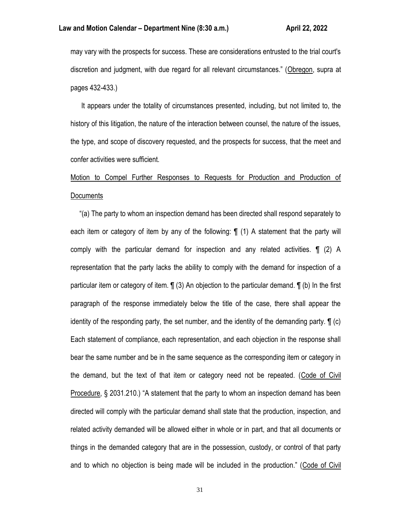may vary with the prospects for success. These are considerations entrusted to the trial court's discretion and judgment, with due regard for all relevant circumstances." (Obregon, supra at pages 432-433.)

 It appears under the totality of circumstances presented, including, but not limited to, the history of this litigation, the nature of the interaction between counsel, the nature of the issues, the type, and scope of discovery requested, and the prospects for success, that the meet and confer activities were sufficient.

Motion to Compel Further Responses to Requests for Production and Production of **Documents** 

 "(a) The party to whom an inspection demand has been directed shall respond separately to each item or category of item by any of the following: ¶ (1) A statement that the party will comply with the particular demand for inspection and any related activities. ¶ (2) A representation that the party lacks the ability to comply with the demand for inspection of a particular item or category of item. ¶ (3) An objection to the particular demand. ¶ (b) In the first paragraph of the response immediately below the title of the case, there shall appear the identity of the responding party, the set number, and the identity of the demanding party. ¶ (c) Each statement of compliance, each representation, and each objection in the response shall bear the same number and be in the same sequence as the corresponding item or category in the demand, but the text of that item or category need not be repeated. (Code of Civil Procedure, § 2031.210.) "A statement that the party to whom an inspection demand has been directed will comply with the particular demand shall state that the production, inspection, and related activity demanded will be allowed either in whole or in part, and that all documents or things in the demanded category that are in the possession, custody, or control of that party and to which no objection is being made will be included in the production." (Code of Civil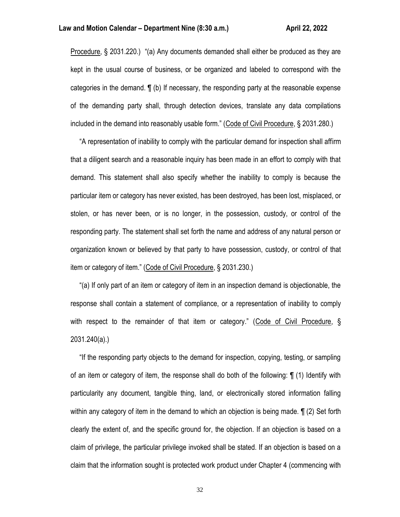Procedure, § 2031.220.) "(a) Any documents demanded shall either be produced as they are kept in the usual course of business, or be organized and labeled to correspond with the categories in the demand. ¶ (b) If necessary, the responding party at the reasonable expense of the demanding party shall, through detection devices, translate any data compilations included in the demand into reasonably usable form." (Code of Civil Procedure, § 2031.280.)

 "A representation of inability to comply with the particular demand for inspection shall affirm that a diligent search and a reasonable inquiry has been made in an effort to comply with that demand. This statement shall also specify whether the inability to comply is because the particular item or category has never existed, has been destroyed, has been lost, misplaced, or stolen, or has never been, or is no longer, in the possession, custody, or control of the responding party. The statement shall set forth the name and address of any natural person or organization known or believed by that party to have possession, custody, or control of that item or category of item." (Code of Civil Procedure, § 2031.230.)

 "(a) If only part of an item or category of item in an inspection demand is objectionable, the response shall contain a statement of compliance, or a representation of inability to comply with respect to the remainder of that item or category." (Code of Civil Procedure, § 2031.240(a).)

 "If the responding party objects to the demand for inspection, copying, testing, or sampling of an item or category of item, the response shall do both of the following: ¶ (1) Identify with particularity any document, tangible thing, land, or electronically stored information falling within any category of item in the demand to which an objection is being made. ¶ (2) Set forth clearly the extent of, and the specific ground for, the objection. If an objection is based on a claim of privilege, the particular privilege invoked shall be stated. If an objection is based on a claim that the information sought is protected work product under Chapter 4 (commencing with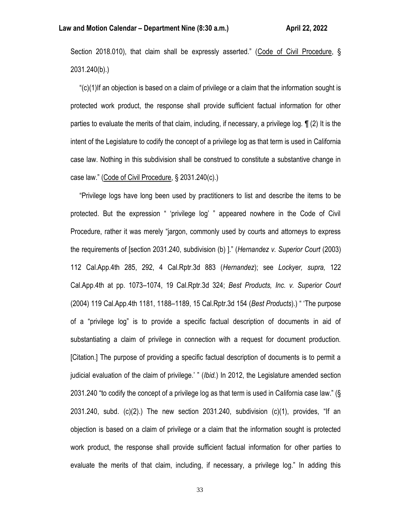Section 2018.010), that claim shall be expressly asserted." (Code of Civil Procedure, § 2031.240(b).)

 "(c)(1)If an objection is based on a claim of privilege or a claim that the information sought is protected work product, the response shall provide sufficient factual information for other parties to evaluate the merits of that claim, including, if necessary, a privilege log. ¶ (2) It is the intent of the Legislature to codify the concept of a privilege log as that term is used in California case law. Nothing in this subdivision shall be construed to constitute a substantive change in case law." (Code of Civil Procedure, § 2031.240(c).)

 "Privilege logs have long been used by practitioners to list and describe the items to be protected. But the expression " 'privilege log' " appeared nowhere in the Code of Civil Procedure, rather it was merely "jargon, commonly used by courts and attorneys to express the requirements of [section 2031.240, subdivision (b) ]." (*Hernandez v. Superior Court* (2003) 112 Cal.App.4th 285, 292, 4 Cal.Rptr.3d 883 (*Hernandez*); see *Lockyer, supra,* 122 Cal.App.4th at pp. 1073–1074, 19 Cal.Rptr.3d 324; *Best Products, Inc. v. Superior Court* (2004) 119 Cal.App.4th 1181, 1188–1189, 15 Cal.Rptr.3d 154 (*Best Products*).) " 'The purpose of a "privilege log" is to provide a specific factual description of documents in aid of substantiating a claim of privilege in connection with a request for document production. [Citation.] The purpose of providing a specific factual description of documents is to permit a judicial evaluation of the claim of privilege.' " (*Ibid.*) In 2012, the Legislature amended section 2031.240 "to codify the concept of a privilege log as that term is used in California case law." (§ 2031.240, subd. (c)(2).) The new section 2031.240, subdivision (c)(1), provides, "If an objection is based on a claim of privilege or a claim that the information sought is protected work product, the response shall provide sufficient factual information for other parties to evaluate the merits of that claim, including, if necessary, a privilege log." In adding this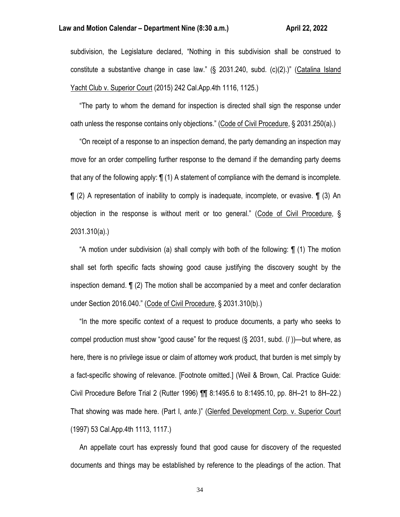### **Law and Motion Calendar – Department Nine (8:30 a.m.) <b>April 21, 2022** April 22, 2022

subdivision, the Legislature declared, "Nothing in this subdivision shall be construed to constitute a substantive change in case law." (§ 2031.240, subd. (c)(2).)" (Catalina Island Yacht Club v. Superior Court (2015) 242 Cal. App. 4th 1116, 1125.)

 "The party to whom the demand for inspection is directed shall sign the response under oath unless the response contains only objections." (Code of Civil Procedure, § 2031.250(a).)

 "On receipt of a response to an inspection demand, the party demanding an inspection may move for an order compelling further response to the demand if the demanding party deems that any of the following apply: ¶ (1) A statement of compliance with the demand is incomplete. ¶ (2) A representation of inability to comply is inadequate, incomplete, or evasive. ¶ (3) An objection in the response is without merit or too general." (Code of Civil Procedure, § 2031.310(a).)

 "A motion under subdivision (a) shall comply with both of the following: ¶ (1) The motion shall set forth specific facts showing good cause justifying the discovery sought by the inspection demand. ¶ (2) The motion shall be accompanied by a meet and confer declaration under Section 2016.040." (Code of Civil Procedure, § 2031.310(b).)

 "In the more specific context of a request to produce documents, a party who seeks to compel production must show "good cause" for the request (§ 2031, subd. (*l* ))—but where, as here, there is no privilege issue or claim of attorney work product, that burden is met simply by a fact-specific showing of relevance. [Footnote omitted.] (Weil & Brown, Cal. Practice Guide: Civil Procedure Before Trial 2 (Rutter 1996) ¶¶ 8:1495.6 to 8:1495.10, pp. 8H–21 to 8H–22.) That showing was made here. (Part I, *ante.*)" (Glenfed Development Corp. v. Superior Court (1997) 53 Cal.App.4th 1113, 1117.)

 An appellate court has expressly found that good cause for discovery of the requested documents and things may be established by reference to the pleadings of the action. That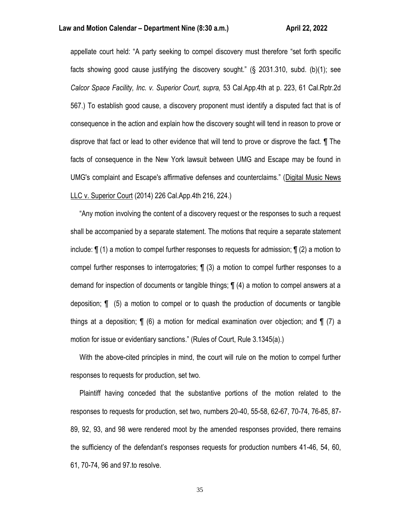### **Law and Motion Calendar – Department Nine (8:30 a.m.) <b>All Accord Accord Accord Accord Accord Accord Accord Accord**

appellate court held: "A party seeking to compel discovery must therefore "set forth specific facts showing good cause justifying the discovery sought." (§ 2031.310, subd. (b)(1); see *Calcor Space Facility, Inc. v. Superior Court, supra,* 53 Cal.App.4th at p. 223, 61 Cal.Rptr.2d 567.) To establish good cause, a discovery proponent must identify a disputed fact that is of consequence in the action and explain how the discovery sought will tend in reason to prove or disprove that fact or lead to other evidence that will tend to prove or disprove the fact. ¶ The facts of consequence in the New York lawsuit between UMG and Escape may be found in UMG's complaint and Escape's affirmative defenses and counterclaims." (Digital Music News LLC v. Superior Court (2014) 226 Cal.App.4th 216, 224.)

 "Any motion involving the content of a discovery request or the responses to such a request shall be accompanied by a separate statement. The motions that require a separate statement include: ¶ (1) a motion to compel further responses to requests for admission; ¶ (2) a motion to compel further responses to interrogatories; ¶ (3) a motion to compel further responses to a demand for inspection of documents or tangible things; ¶ (4) a motion to compel answers at a deposition; ¶ (5) a motion to compel or to quash the production of documents or tangible things at a deposition; ¶ (6) a motion for medical examination over objection; and ¶ (7) a motion for issue or evidentiary sanctions." (Rules of Court, Rule 3.1345(a).)

 With the above-cited principles in mind, the court will rule on the motion to compel further responses to requests for production, set two.

 Plaintiff having conceded that the substantive portions of the motion related to the responses to requests for production, set two, numbers 20-40, 55-58, 62-67, 70-74, 76-85, 87- 89, 92, 93, and 98 were rendered moot by the amended responses provided, there remains the sufficiency of the defendant's responses requests for production numbers 41-46, 54, 60, 61, 70-74, 96 and 97.to resolve.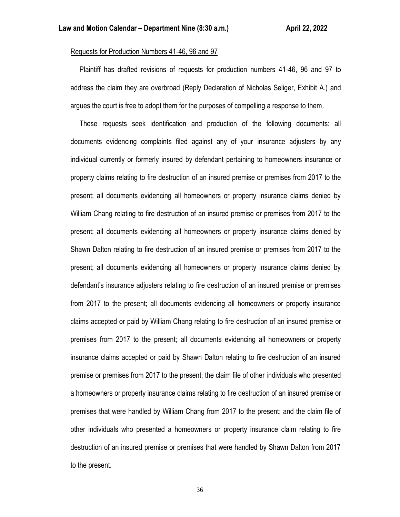### Requests for Production Numbers 41-46, 96 and 97

 Plaintiff has drafted revisions of requests for production numbers 41-46, 96 and 97 to address the claim they are overbroad (Reply Declaration of Nicholas Seliger, Exhibit A.) and argues the court is free to adopt them for the purposes of compelling a response to them.

 These requests seek identification and production of the following documents: all documents evidencing complaints filed against any of your insurance adjusters by any individual currently or formerly insured by defendant pertaining to homeowners insurance or property claims relating to fire destruction of an insured premise or premises from 2017 to the present; all documents evidencing all homeowners or property insurance claims denied by William Chang relating to fire destruction of an insured premise or premises from 2017 to the present; all documents evidencing all homeowners or property insurance claims denied by Shawn Dalton relating to fire destruction of an insured premise or premises from 2017 to the present; all documents evidencing all homeowners or property insurance claims denied by defendant's insurance adjusters relating to fire destruction of an insured premise or premises from 2017 to the present; all documents evidencing all homeowners or property insurance claims accepted or paid by William Chang relating to fire destruction of an insured premise or premises from 2017 to the present; all documents evidencing all homeowners or property insurance claims accepted or paid by Shawn Dalton relating to fire destruction of an insured premise or premises from 2017 to the present; the claim file of other individuals who presented a homeowners or property insurance claims relating to fire destruction of an insured premise or premises that were handled by William Chang from 2017 to the present; and the claim file of other individuals who presented a homeowners or property insurance claim relating to fire destruction of an insured premise or premises that were handled by Shawn Dalton from 2017 to the present.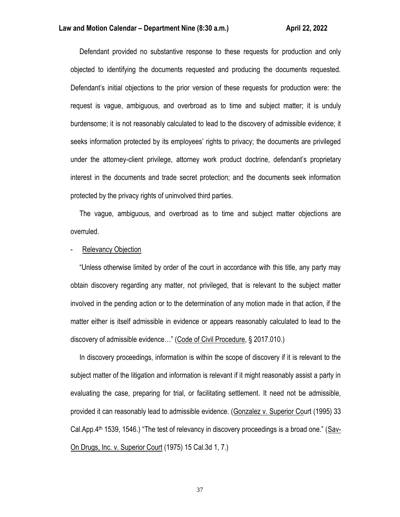Defendant provided no substantive response to these requests for production and only objected to identifying the documents requested and producing the documents requested. Defendant's initial objections to the prior version of these requests for production were: the request is vague, ambiguous, and overbroad as to time and subject matter; it is unduly burdensome; it is not reasonably calculated to lead to the discovery of admissible evidence; it seeks information protected by its employees' rights to privacy; the documents are privileged under the attorney-client privilege, attorney work product doctrine, defendant's proprietary interest in the documents and trade secret protection; and the documents seek information protected by the privacy rights of uninvolved third parties.

 The vague, ambiguous, and overbroad as to time and subject matter objections are overruled.

### Relevancy Objection

 "Unless otherwise limited by order of the court in accordance with this title, any party may obtain discovery regarding any matter, not privileged, that is relevant to the subject matter involved in the pending action or to the determination of any motion made in that action, if the matter either is itself admissible in evidence or appears reasonably calculated to lead to the discovery of admissible evidence…" (Code of Civil Procedure, § 2017.010.)

 In discovery proceedings, information is within the scope of discovery if it is relevant to the subject matter of the litigation and information is relevant if it might reasonably assist a party in evaluating the case, preparing for trial, or facilitating settlement. It need not be admissible, provided it can reasonably lead to admissible evidence. (Gonzalez v. Superior Court (1995) 33 Cal.App.4th 1539, 1546.) "The test of relevancy in discovery proceedings is a broad one." (Sav-On Drugs, Inc. v. Superior Court (1975) 15 Cal.3d 1, 7.)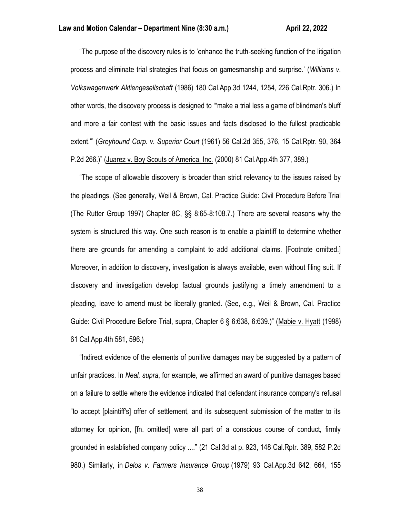"The purpose of the discovery rules is to 'enhance the truth-seeking function of the litigation process and eliminate trial strategies that focus on gamesmanship and surprise.' (*Williams v. Volkswagenwerk Aktiengesellschaft* (1986) 180 Cal.App.3d 1244, 1254, 226 Cal.Rptr. 306.) In other words, the discovery process is designed to '"make a trial less a game of blindman's bluff and more a fair contest with the basic issues and facts disclosed to the fullest practicable extent."' (*Greyhound Corp. v. Superior Court* (1961) 56 Cal.2d 355, 376, 15 Cal.Rptr. 90, 364 P.2d 266.)" (Juarez v. Boy Scouts of America, Inc. (2000) 81 Cal.App.4th 377, 389.)

 "The scope of allowable discovery is broader than strict relevancy to the issues raised by the pleadings. (See generally, Weil & Brown, Cal. Practice Guide: Civil Procedure Before Trial (The Rutter Group 1997) Chapter 8C, §§ 8:65-8:108.7.) There are several reasons why the system is structured this way. One such reason is to enable a plaintiff to determine whether there are grounds for amending a complaint to add additional claims. [Footnote omitted.] Moreover, in addition to discovery, investigation is always available, even without filing suit. If discovery and investigation develop factual grounds justifying a timely amendment to a pleading, leave to amend must be liberally granted. (See, e.g., Weil & Brown, Cal. Practice Guide: Civil Procedure Before Trial, supra, Chapter 6 § 6:638, 6:639.)" (Mabie v. Hyatt (1998) 61 Cal.App.4th 581, 596.)

 "Indirect evidence of the elements of punitive damages may be suggested by a pattern of unfair practices. In *Neal, supra*, for example, we affirmed an award of punitive damages based on a failure to settle where the evidence indicated that defendant insurance company's refusal "to accept [plaintiff's] offer of settlement, and its subsequent submission of the matter to its attorney for opinion, [fn. omitted] were all part of a conscious course of conduct, firmly grounded in established company policy ...." (21 Cal.3d at p. 923, 148 Cal.Rptr. 389, 582 P.2d 980.) Similarly, in *Delos v. Farmers Insurance Group* (1979) 93 Cal.App.3d 642, 664, 155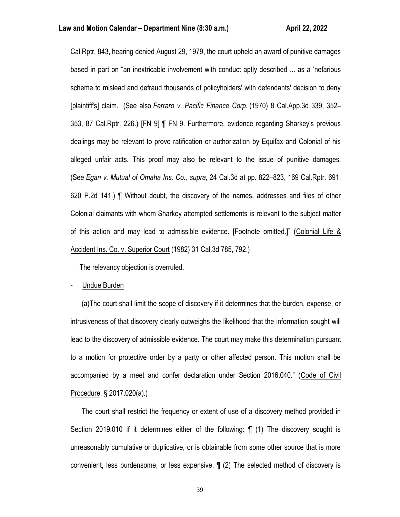Cal.Rptr. 843, hearing denied August 29, 1979, the court upheld an award of punitive damages based in part on "an inextricable involvement with conduct aptly described ... as a 'nefarious scheme to mislead and defraud thousands of policyholders' with defendants' decision to deny [plaintiff's] claim." (See also *Ferraro v. Pacific Finance Corp.* (1970) 8 Cal.App.3d 339, 352– 353, 87 Cal.Rptr. 226.) [FN 9] ¶ FN 9. Furthermore, evidence regarding Sharkey's previous dealings may be relevant to prove ratification or authorization by Equifax and Colonial of his alleged unfair acts. This proof may also be relevant to the issue of punitive damages. (See *Egan v. Mutual of Omaha Ins. Co., supra*, 24 Cal.3d at pp. 822–823, 169 Cal.Rptr. 691, 620 P.2d 141.) ¶ Without doubt, the discovery of the names, addresses and files of other Colonial claimants with whom Sharkey attempted settlements is relevant to the subject matter of this action and may lead to admissible evidence. [Footnote omitted.]" (Colonial Life & Accident Ins. Co. v. Superior Court (1982) 31 Cal.3d 785, 792.)

The relevancy objection is overruled.

- Undue Burden

 "(a)The court shall limit the scope of discovery if it determines that the burden, expense, or intrusiveness of that discovery clearly outweighs the likelihood that the information sought will lead to the discovery of admissible evidence. The court may make this determination pursuant to a motion for protective order by a party or other affected person. This motion shall be accompanied by a meet and confer declaration under Section 2016.040." (Code of Civil Procedure, § 2017.020(a).)

 "The court shall restrict the frequency or extent of use of a discovery method provided in Section 2019.010 if it determines either of the following: ¶ (1) The discovery sought is unreasonably cumulative or duplicative, or is obtainable from some other source that is more convenient, less burdensome, or less expensive. ¶ (2) The selected method of discovery is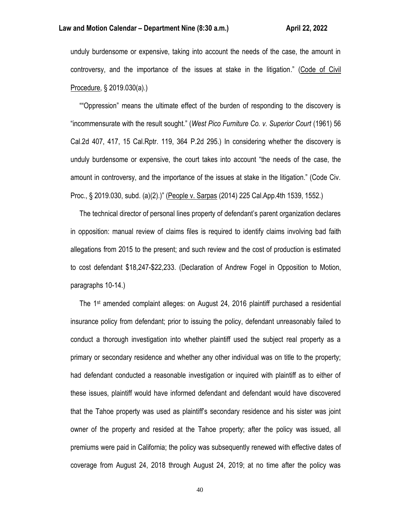### **Law and Motion Calendar – Department Nine (8:30 a.m.) <b>April 21, 2022** April 22, 2022

unduly burdensome or expensive, taking into account the needs of the case, the amount in controversy, and the importance of the issues at stake in the litigation." (Code of Civil Procedure, § 2019.030(a).)

 ""Oppression" means the ultimate effect of the burden of responding to the discovery is "incommensurate with the result sought." (*West Pico Furniture Co. v. Superior Court* (1961) 56 Cal.2d 407, 417, 15 Cal.Rptr. 119, 364 P.2d 295.) In considering whether the discovery is unduly burdensome or expensive, the court takes into account "the needs of the case, the amount in controversy, and the importance of the issues at stake in the litigation." (Code Civ. Proc., § 2019.030, subd. (a)(2).)" (People v. Sarpas (2014) 225 Cal.App.4th 1539, 1552.)

 The technical director of personal lines property of defendant's parent organization declares in opposition: manual review of claims files is required to identify claims involving bad faith allegations from 2015 to the present; and such review and the cost of production is estimated to cost defendant \$18,247-\$22,233. (Declaration of Andrew Fogel in Opposition to Motion, paragraphs 10-14.)

 The 1st amended complaint alleges: on August 24, 2016 plaintiff purchased a residential insurance policy from defendant; prior to issuing the policy, defendant unreasonably failed to conduct a thorough investigation into whether plaintiff used the subject real property as a primary or secondary residence and whether any other individual was on title to the property; had defendant conducted a reasonable investigation or inquired with plaintiff as to either of these issues, plaintiff would have informed defendant and defendant would have discovered that the Tahoe property was used as plaintiff's secondary residence and his sister was joint owner of the property and resided at the Tahoe property; after the policy was issued, all premiums were paid in California; the policy was subsequently renewed with effective dates of coverage from August 24, 2018 through August 24, 2019; at no time after the policy was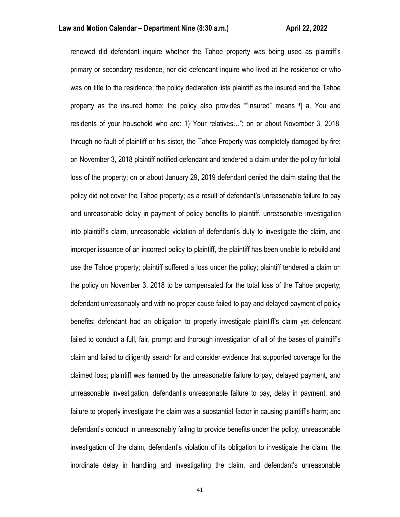renewed did defendant inquire whether the Tahoe property was being used as plaintiff's primary or secondary residence, nor did defendant inquire who lived at the residence or who was on title to the residence; the policy declaration lists plaintiff as the insured and the Tahoe property as the insured home; the policy also provides ""Insured" means ¶ a. You and residents of your household who are: 1) Your relatives…"; on or about November 3, 2018, through no fault of plaintiff or his sister, the Tahoe Property was completely damaged by fire; on November 3, 2018 plaintiff notified defendant and tendered a claim under the policy for total loss of the property; on or about January 29, 2019 defendant denied the claim stating that the policy did not cover the Tahoe property; as a result of defendant's unreasonable failure to pay and unreasonable delay in payment of policy benefits to plaintiff, unreasonable investigation into plaintiff's claim, unreasonable violation of defendant's duty to investigate the claim, and improper issuance of an incorrect policy to plaintiff, the plaintiff has been unable to rebuild and use the Tahoe property; plaintiff suffered a loss under the policy; plaintiff tendered a claim on the policy on November 3, 2018 to be compensated for the total loss of the Tahoe property; defendant unreasonably and with no proper cause failed to pay and delayed payment of policy benefits; defendant had an obligation to properly investigate plaintiff's claim yet defendant failed to conduct a full, fair, prompt and thorough investigation of all of the bases of plaintiff's claim and failed to diligently search for and consider evidence that supported coverage for the claimed loss; plaintiff was harmed by the unreasonable failure to pay, delayed payment, and unreasonable investigation; defendant's unreasonable failure to pay, delay in payment, and failure to properly investigate the claim was a substantial factor in causing plaintiff's harm; and defendant's conduct in unreasonably failing to provide benefits under the policy, unreasonable investigation of the claim, defendant's violation of its obligation to investigate the claim, the inordinate delay in handling and investigating the claim, and defendant's unreasonable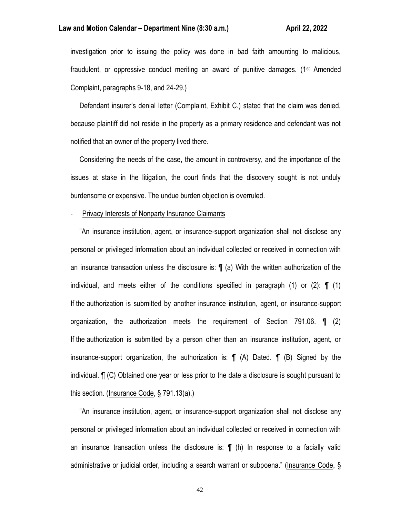### **Law and Motion Calendar – Department Nine (8:30 a.m.) <b>All Accord Accord Accord Accord Accord Accord Accord Accord**

investigation prior to issuing the policy was done in bad faith amounting to malicious, fraudulent, or oppressive conduct meriting an award of punitive damages. (1st Amended Complaint, paragraphs 9-18, and 24-29.)

 Defendant insurer's denial letter (Complaint, Exhibit C.) stated that the claim was denied, because plaintiff did not reside in the property as a primary residence and defendant was not notified that an owner of the property lived there.

 Considering the needs of the case, the amount in controversy, and the importance of the issues at stake in the litigation, the court finds that the discovery sought is not unduly burdensome or expensive. The undue burden objection is overruled.

#### - Privacy Interests of Nonparty Insurance Claimants

 "An insurance institution, agent, or insurance-support organization shall not disclose any personal or privileged information about an individual collected or received in connection with an insurance transaction unless the disclosure is: ¶ (a) With the written authorization of the individual, and meets either of the conditions specified in paragraph  $(1)$  or  $(2)$ :  $\P$   $(1)$ If the authorization is submitted by another insurance institution, agent, or insurance-support organization, the authorization meets the requirement of Section 791.06. ¶ (2) If the authorization is submitted by a person other than an insurance institution, agent, or insurance-support organization, the authorization is: ¶ (A) Dated. ¶ (B) Signed by the individual. ¶ (C) Obtained one year or less prior to the date a disclosure is sought pursuant to this section. (Insurance Code, § 791.13(a).)

 "An insurance institution, agent, or insurance-support organization shall not disclose any personal or privileged information about an individual collected or received in connection with an insurance transaction unless the disclosure is: ¶ (h) In response to a facially valid administrative or judicial order, including a search warrant or subpoena." (Insurance Code, §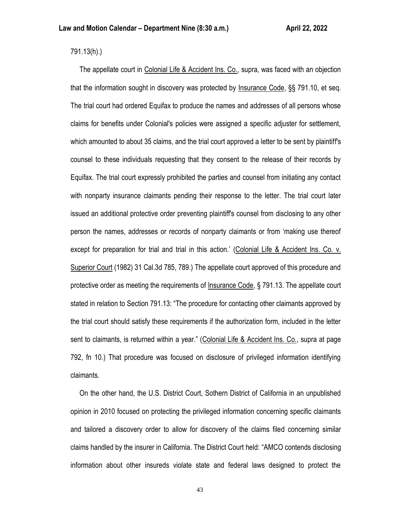791.13(h).)

 The appellate court in Colonial Life & Accident Ins. Co., supra, was faced with an objection that the information sought in discovery was protected by Insurance Code, §§ 791.10, et seq. The trial court had ordered Equifax to produce the names and addresses of all persons whose claims for benefits under Colonial's policies were assigned a specific adjuster for settlement, which amounted to about 35 claims, and the trial court approved a letter to be sent by plaintiff's counsel to these individuals requesting that they consent to the release of their records by Equifax. The trial court expressly prohibited the parties and counsel from initiating any contact with nonparty insurance claimants pending their response to the letter. The trial court later issued an additional protective order preventing plaintiff's counsel from disclosing to any other person the names, addresses or records of nonparty claimants or from 'making use thereof except for preparation for trial and trial in this action.' (Colonial Life & Accident Ins. Co. v. Superior Court (1982) 31 Cal.3d 785, 789.) The appellate court approved of this procedure and protective order as meeting the requirements of Insurance Code, § 791.13. The appellate court stated in relation to Section 791.13: "The procedure for contacting other claimants approved by the trial court should satisfy these requirements if the authorization form, included in the letter sent to claimants, is returned within a year." (Colonial Life & Accident Ins. Co., supra at page 792, fn 10.) That procedure was focused on disclosure of privileged information identifying claimants.

 On the other hand, the U.S. District Court, Sothern District of California in an unpublished opinion in 2010 focused on protecting the privileged information concerning specific claimants and tailored a discovery order to allow for discovery of the claims filed concerning similar claims handled by the insurer in California. The District Court held: "AMCO contends disclosing information about other insureds violate state and federal laws designed to protect the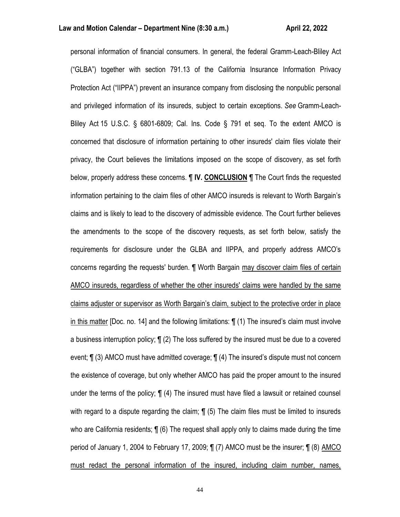personal information of financial consumers. In general, the federal Gramm-Leach-Bliley Act ("GLBA") together with section 791.13 of the California Insurance Information Privacy Protection Act ("IIPPA") prevent an insurance company from disclosing the nonpublic personal and privileged information of its insureds, subject to certain exceptions. *See* Gramm-Leach-Bliley Act 15 U.S.C. § 6801-6809; Cal. Ins. Code § 791 et seq. To the extent AMCO is concerned that disclosure of information pertaining to other insureds' claim files violate their privacy, the Court believes the limitations imposed on the scope of discovery, as set forth below, properly address these concerns. ¶ **IV. CONCLUSION** ¶ The Court finds the requested information pertaining to the claim files of other AMCO insureds is relevant to Worth Bargain's claims and is likely to lead to the discovery of admissible evidence. The Court further believes the amendments to the scope of the discovery requests, as set forth below, satisfy the requirements for disclosure under the GLBA and IIPPA, and properly address AMCO's concerns regarding the requests' burden. ¶ Worth Bargain may discover claim files of certain AMCO insureds, regardless of whether the other insureds' claims were handled by the same claims adjuster or supervisor as Worth Bargain's claim, subject to the protective order in place in this matter [Doc. no. 14] and the following limitations: ¶ (1) The insured's claim must involve a business interruption policy; ¶ (2) The loss suffered by the insured must be due to a covered event; ¶ (3) AMCO must have admitted coverage; ¶ (4) The insured's dispute must not concern the existence of coverage, but only whether AMCO has paid the proper amount to the insured under the terms of the policy; ¶ (4) The insured must have filed a lawsuit or retained counsel with regard to a dispute regarding the claim;  $\P$  (5) The claim files must be limited to insureds who are California residents; ¶ (6) The request shall apply only to claims made during the time period of January 1, 2004 to February 17, 2009; ¶ (7) AMCO must be the insurer; ¶ (8) AMCO must redact the personal information of the insured, including claim number, names,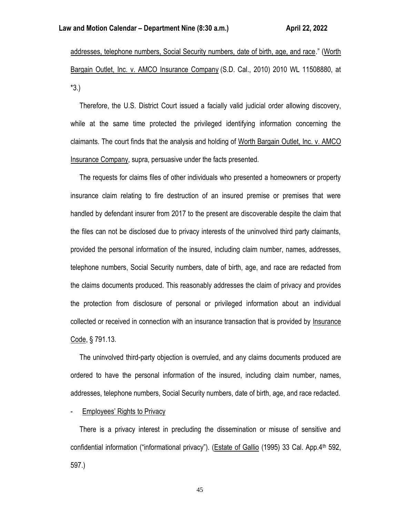addresses, telephone numbers, Social Security numbers, date of birth, age, and race." (Worth Bargain Outlet, Inc. v. AMCO Insurance Company (S.D. Cal., 2010) 2010 WL 11508880, at \*3.)

 Therefore, the U.S. District Court issued a facially valid judicial order allowing discovery, while at the same time protected the privileged identifying information concerning the claimants. The court finds that the analysis and holding of Worth Bargain Outlet, Inc. v. AMCO Insurance Company, supra, persuasive under the facts presented.

 The requests for claims files of other individuals who presented a homeowners or property insurance claim relating to fire destruction of an insured premise or premises that were handled by defendant insurer from 2017 to the present are discoverable despite the claim that the files can not be disclosed due to privacy interests of the uninvolved third party claimants, provided the personal information of the insured, including claim number, names, addresses, telephone numbers, Social Security numbers, date of birth, age, and race are redacted from the claims documents produced. This reasonably addresses the claim of privacy and provides the protection from disclosure of personal or privileged information about an individual collected or received in connection with an insurance transaction that is provided by Insurance Code, § 791.13.

 The uninvolved third-party objection is overruled, and any claims documents produced are ordered to have the personal information of the insured, including claim number, names, addresses, telephone numbers, Social Security numbers, date of birth, age, and race redacted.

Employees' Rights to Privacy

 There is a privacy interest in precluding the dissemination or misuse of sensitive and confidential information ("informational privacy"). (Estate of Gallio (1995) 33 Cal. App.4<sup>th</sup> 592, 597.)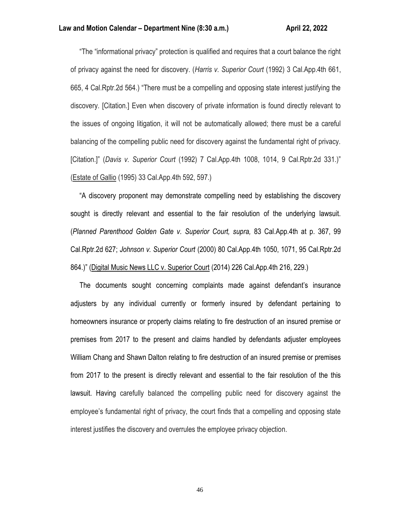"The "informational privacy" protection is qualified and requires that a court balance the right of privacy against the need for discovery. (*Harris v. Superior Court* (1992) 3 Cal.App.4th 661, 665, 4 Cal.Rptr.2d 564.) "There must be a compelling and opposing state interest justifying the discovery. [Citation.] Even when discovery of private information is found directly relevant to the issues of ongoing litigation, it will not be automatically allowed; there must be a careful balancing of the compelling public need for discovery against the fundamental right of privacy. [Citation.]" (*Davis v. Superior Court* (1992) 7 Cal.App.4th 1008, 1014, 9 Cal.Rptr.2d 331.)" (Estate of Gallio (1995) 33 Cal.App.4th 592, 597.)

 "A discovery proponent may demonstrate compelling need by establishing the discovery sought is directly relevant and essential to the fair resolution of the underlying lawsuit. (*Planned Parenthood Golden Gate v. Superior Court, supra,* 83 Cal.App.4th at p. 367, 99 Cal.Rptr.2d 627; *Johnson v. Superior Court* (2000) 80 Cal.App.4th 1050, 1071, 95 Cal.Rptr.2d 864.)" (Digital Music News LLC v. Superior Court (2014) 226 Cal.App.4th 216, 229.)

 The documents sought concerning complaints made against defendant's insurance adjusters by any individual currently or formerly insured by defendant pertaining to homeowners insurance or property claims relating to fire destruction of an insured premise or premises from 2017 to the present and claims handled by defendants adjuster employees William Chang and Shawn Dalton relating to fire destruction of an insured premise or premises from 2017 to the present is directly relevant and essential to the fair resolution of the this lawsuit. Having carefully balanced the compelling public need for discovery against the employee's fundamental right of privacy, the court finds that a compelling and opposing state interest justifies the discovery and overrules the employee privacy objection.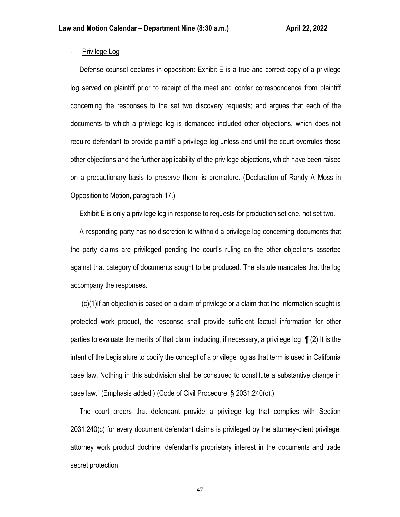# - Privilege Log

 Defense counsel declares in opposition: Exhibit E is a true and correct copy of a privilege log served on plaintiff prior to receipt of the meet and confer correspondence from plaintiff concerning the responses to the set two discovery requests; and argues that each of the documents to which a privilege log is demanded included other objections, which does not require defendant to provide plaintiff a privilege log unless and until the court overrules those other objections and the further applicability of the privilege objections, which have been raised on a precautionary basis to preserve them, is premature. (Declaration of Randy A Moss in Opposition to Motion, paragraph 17.)

Exhibit E is only a privilege log in response to requests for production set one, not set two.

 A responding party has no discretion to withhold a privilege log concerning documents that the party claims are privileged pending the court's ruling on the other objections asserted against that category of documents sought to be produced. The statute mandates that the log accompany the responses.

 "(c)(1)If an objection is based on a claim of privilege or a claim that the information sought is protected work product, the response shall provide sufficient factual information for other parties to evaluate the merits of that claim, including, if necessary, a privilege log. ¶ (2) It is the intent of the Legislature to codify the concept of a privilege log as that term is used in California case law. Nothing in this subdivision shall be construed to constitute a substantive change in case law." (Emphasis added,) (Code of Civil Procedure, § 2031.240(c).)

 The court orders that defendant provide a privilege log that complies with Section 2031.240(c) for every document defendant claims is privileged by the attorney-client privilege, attorney work product doctrine, defendant's proprietary interest in the documents and trade secret protection.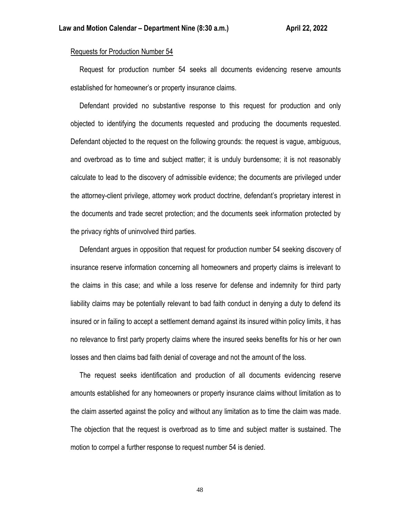# Requests for Production Number 54

 Request for production number 54 seeks all documents evidencing reserve amounts established for homeowner's or property insurance claims.

 Defendant provided no substantive response to this request for production and only objected to identifying the documents requested and producing the documents requested. Defendant objected to the request on the following grounds: the request is vague, ambiguous, and overbroad as to time and subject matter; it is unduly burdensome; it is not reasonably calculate to lead to the discovery of admissible evidence; the documents are privileged under the attorney-client privilege, attorney work product doctrine, defendant's proprietary interest in the documents and trade secret protection; and the documents seek information protected by the privacy rights of uninvolved third parties.

 Defendant argues in opposition that request for production number 54 seeking discovery of insurance reserve information concerning all homeowners and property claims is irrelevant to the claims in this case; and while a loss reserve for defense and indemnity for third party liability claims may be potentially relevant to bad faith conduct in denying a duty to defend its insured or in failing to accept a settlement demand against its insured within policy limits, it has no relevance to first party property claims where the insured seeks benefits for his or her own losses and then claims bad faith denial of coverage and not the amount of the loss.

 The request seeks identification and production of all documents evidencing reserve amounts established for any homeowners or property insurance claims without limitation as to the claim asserted against the policy and without any limitation as to time the claim was made. The objection that the request is overbroad as to time and subject matter is sustained. The motion to compel a further response to request number 54 is denied.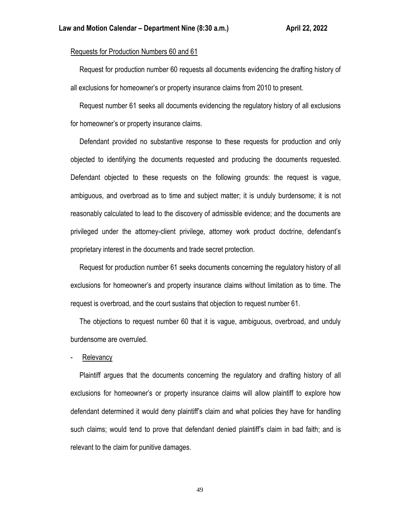# Requests for Production Numbers 60 and 61

 Request for production number 60 requests all documents evidencing the drafting history of all exclusions for homeowner's or property insurance claims from 2010 to present.

 Request number 61 seeks all documents evidencing the regulatory history of all exclusions for homeowner's or property insurance claims.

 Defendant provided no substantive response to these requests for production and only objected to identifying the documents requested and producing the documents requested. Defendant objected to these requests on the following grounds: the request is vague, ambiguous, and overbroad as to time and subject matter; it is unduly burdensome; it is not reasonably calculated to lead to the discovery of admissible evidence; and the documents are privileged under the attorney-client privilege, attorney work product doctrine, defendant's proprietary interest in the documents and trade secret protection.

 Request for production number 61 seeks documents concerning the regulatory history of all exclusions for homeowner's and property insurance claims without limitation as to time. The request is overbroad, and the court sustains that objection to request number 61.

 The objections to request number 60 that it is vague, ambiguous, overbroad, and unduly burdensome are overruled.

**Relevancy** 

 Plaintiff argues that the documents concerning the regulatory and drafting history of all exclusions for homeowner's or property insurance claims will allow plaintiff to explore how defendant determined it would deny plaintiff's claim and what policies they have for handling such claims; would tend to prove that defendant denied plaintiff's claim in bad faith; and is relevant to the claim for punitive damages.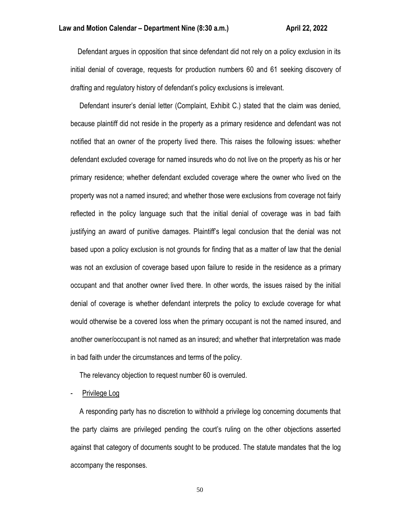Defendant argues in opposition that since defendant did not rely on a policy exclusion in its initial denial of coverage, requests for production numbers 60 and 61 seeking discovery of drafting and regulatory history of defendant's policy exclusions is irrelevant.

 Defendant insurer's denial letter (Complaint, Exhibit C.) stated that the claim was denied, because plaintiff did not reside in the property as a primary residence and defendant was not notified that an owner of the property lived there. This raises the following issues: whether defendant excluded coverage for named insureds who do not live on the property as his or her primary residence; whether defendant excluded coverage where the owner who lived on the property was not a named insured; and whether those were exclusions from coverage not fairly reflected in the policy language such that the initial denial of coverage was in bad faith justifying an award of punitive damages. Plaintiff's legal conclusion that the denial was not based upon a policy exclusion is not grounds for finding that as a matter of law that the denial was not an exclusion of coverage based upon failure to reside in the residence as a primary occupant and that another owner lived there. In other words, the issues raised by the initial denial of coverage is whether defendant interprets the policy to exclude coverage for what would otherwise be a covered loss when the primary occupant is not the named insured, and another owner/occupant is not named as an insured; and whether that interpretation was made in bad faith under the circumstances and terms of the policy.

The relevancy objection to request number 60 is overruled.

Privilege Log

 A responding party has no discretion to withhold a privilege log concerning documents that the party claims are privileged pending the court's ruling on the other objections asserted against that category of documents sought to be produced. The statute mandates that the log accompany the responses.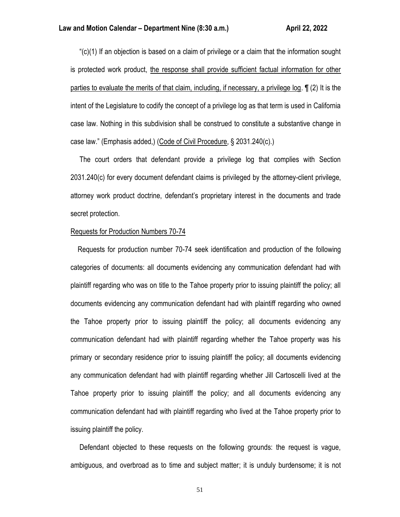"(c)(1) If an objection is based on a claim of privilege or a claim that the information sought is protected work product, the response shall provide sufficient factual information for other parties to evaluate the merits of that claim, including, if necessary, a privilege log. ¶ (2) It is the intent of the Legislature to codify the concept of a privilege log as that term is used in California case law. Nothing in this subdivision shall be construed to constitute a substantive change in case law." (Emphasis added,) (Code of Civil Procedure, § 2031.240(c).)

 The court orders that defendant provide a privilege log that complies with Section 2031.240(c) for every document defendant claims is privileged by the attorney-client privilege, attorney work product doctrine, defendant's proprietary interest in the documents and trade secret protection.

#### Requests for Production Numbers 70-74

 Requests for production number 70-74 seek identification and production of the following categories of documents: all documents evidencing any communication defendant had with plaintiff regarding who was on title to the Tahoe property prior to issuing plaintiff the policy; all documents evidencing any communication defendant had with plaintiff regarding who owned the Tahoe property prior to issuing plaintiff the policy; all documents evidencing any communication defendant had with plaintiff regarding whether the Tahoe property was his primary or secondary residence prior to issuing plaintiff the policy; all documents evidencing any communication defendant had with plaintiff regarding whether Jill Cartoscelli lived at the Tahoe property prior to issuing plaintiff the policy; and all documents evidencing any communication defendant had with plaintiff regarding who lived at the Tahoe property prior to issuing plaintiff the policy.

 Defendant objected to these requests on the following grounds: the request is vague, ambiguous, and overbroad as to time and subject matter; it is unduly burdensome; it is not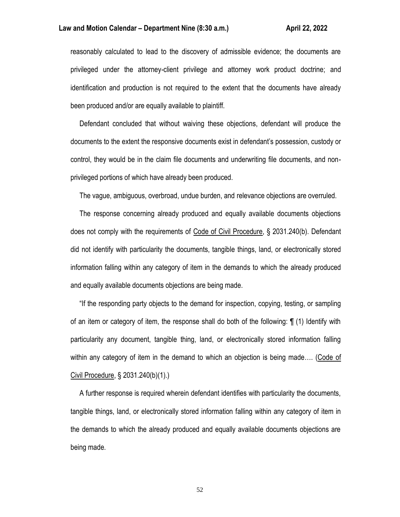reasonably calculated to lead to the discovery of admissible evidence; the documents are privileged under the attorney-client privilege and attorney work product doctrine; and identification and production is not required to the extent that the documents have already been produced and/or are equally available to plaintiff.

 Defendant concluded that without waiving these objections, defendant will produce the documents to the extent the responsive documents exist in defendant's possession, custody or control, they would be in the claim file documents and underwriting file documents, and nonprivileged portions of which have already been produced.

The vague, ambiguous, overbroad, undue burden, and relevance objections are overruled.

 The response concerning already produced and equally available documents objections does not comply with the requirements of Code of Civil Procedure, § 2031.240(b). Defendant did not identify with particularity the documents, tangible things, land, or electronically stored information falling within any category of item in the demands to which the already produced and equally available documents objections are being made.

 "If the responding party objects to the demand for inspection, copying, testing, or sampling of an item or category of item, the response shall do both of the following: ¶ (1) Identify with particularity any document, tangible thing, land, or electronically stored information falling within any category of item in the demand to which an objection is being made…. (Code of Civil Procedure, § 2031.240(b)(1).)

 A further response is required wherein defendant identifies with particularity the documents, tangible things, land, or electronically stored information falling within any category of item in the demands to which the already produced and equally available documents objections are being made.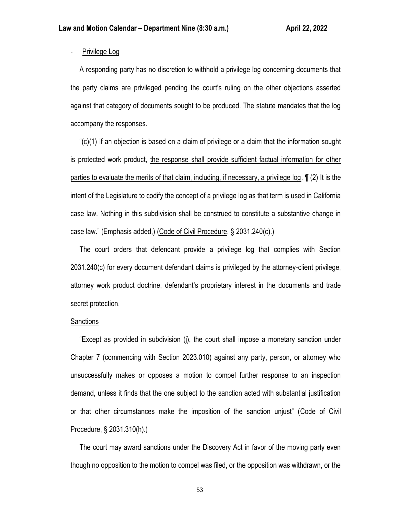# - Privilege Log

 A responding party has no discretion to withhold a privilege log concerning documents that the party claims are privileged pending the court's ruling on the other objections asserted against that category of documents sought to be produced. The statute mandates that the log accompany the responses.

 "(c)(1) If an objection is based on a claim of privilege or a claim that the information sought is protected work product, the response shall provide sufficient factual information for other parties to evaluate the merits of that claim, including, if necessary, a privilege log. ¶ (2) It is the intent of the Legislature to codify the concept of a privilege log as that term is used in California case law. Nothing in this subdivision shall be construed to constitute a substantive change in case law." (Emphasis added,) (Code of Civil Procedure, § 2031.240(c).)

 The court orders that defendant provide a privilege log that complies with Section 2031.240(c) for every document defendant claims is privileged by the attorney-client privilege, attorney work product doctrine, defendant's proprietary interest in the documents and trade secret protection.

# **Sanctions**

 "Except as provided in subdivision (j), the court shall impose a monetary sanction under Chapter 7 (commencing with Section 2023.010) against any party, person, or attorney who unsuccessfully makes or opposes a motion to compel further response to an inspection demand, unless it finds that the one subject to the sanction acted with substantial justification or that other circumstances make the imposition of the sanction unjust" (Code of Civil Procedure, § 2031.310(h).)

 The court may award sanctions under the Discovery Act in favor of the moving party even though no opposition to the motion to compel was filed, or the opposition was withdrawn, or the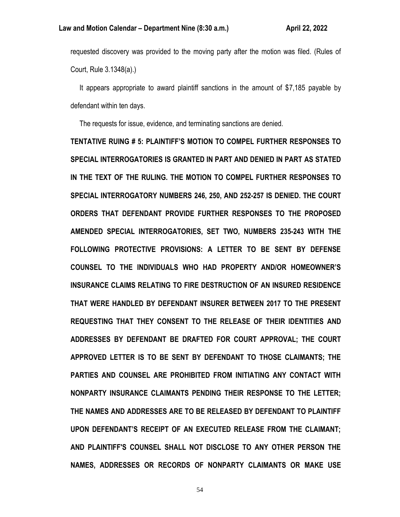requested discovery was provided to the moving party after the motion was filed. (Rules of Court, Rule 3.1348(a).)

 It appears appropriate to award plaintiff sanctions in the amount of \$7,185 payable by defendant within ten days.

The requests for issue, evidence, and terminating sanctions are denied.

**TENTATIVE RUING # 5: PLAINTIFF'S MOTION TO COMPEL FURTHER RESPONSES TO SPECIAL INTERROGATORIES IS GRANTED IN PART AND DENIED IN PART AS STATED IN THE TEXT OF THE RULING. THE MOTION TO COMPEL FURTHER RESPONSES TO SPECIAL INTERROGATORY NUMBERS 246, 250, AND 252-257 IS DENIED. THE COURT ORDERS THAT DEFENDANT PROVIDE FURTHER RESPONSES TO THE PROPOSED AMENDED SPECIAL INTERROGATORIES, SET TWO, NUMBERS 235-243 WITH THE FOLLOWING PROTECTIVE PROVISIONS: A LETTER TO BE SENT BY DEFENSE COUNSEL TO THE INDIVIDUALS WHO HAD PROPERTY AND/OR HOMEOWNER'S INSURANCE CLAIMS RELATING TO FIRE DESTRUCTION OF AN INSURED RESIDENCE THAT WERE HANDLED BY DEFENDANT INSURER BETWEEN 2017 TO THE PRESENT REQUESTING THAT THEY CONSENT TO THE RELEASE OF THEIR IDENTITIES AND ADDRESSES BY DEFENDANT BE DRAFTED FOR COURT APPROVAL; THE COURT APPROVED LETTER IS TO BE SENT BY DEFENDANT TO THOSE CLAIMANTS; THE PARTIES AND COUNSEL ARE PROHIBITED FROM INITIATING ANY CONTACT WITH NONPARTY INSURANCE CLAIMANTS PENDING THEIR RESPONSE TO THE LETTER; THE NAMES AND ADDRESSES ARE TO BE RELEASED BY DEFENDANT TO PLAINTIFF UPON DEFENDANT'S RECEIPT OF AN EXECUTED RELEASE FROM THE CLAIMANT; AND PLAINTIFF'S COUNSEL SHALL NOT DISCLOSE TO ANY OTHER PERSON THE NAMES, ADDRESSES OR RECORDS OF NONPARTY CLAIMANTS OR MAKE USE**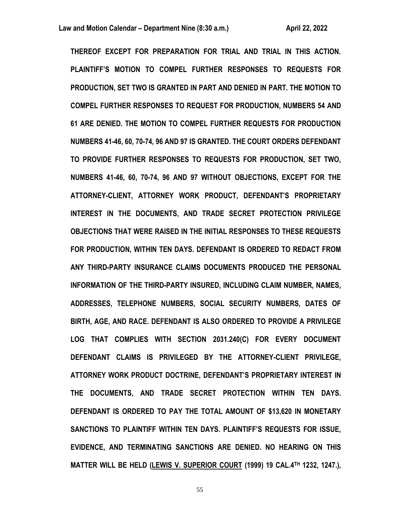**THEREOF EXCEPT FOR PREPARATION FOR TRIAL AND TRIAL IN THIS ACTION. PLAINTIFF'S MOTION TO COMPEL FURTHER RESPONSES TO REQUESTS FOR PRODUCTION, SET TWO IS GRANTED IN PART AND DENIED IN PART. THE MOTION TO COMPEL FURTHER RESPONSES TO REQUEST FOR PRODUCTION, NUMBERS 54 AND 61 ARE DENIED. THE MOTION TO COMPEL FURTHER REQUESTS FOR PRODUCTION NUMBERS 41-46, 60, 70-74, 96 AND 97 IS GRANTED. THE COURT ORDERS DEFENDANT TO PROVIDE FURTHER RESPONSES TO REQUESTS FOR PRODUCTION, SET TWO, NUMBERS 41-46, 60, 70-74, 96 AND 97 WITHOUT OBJECTIONS, EXCEPT FOR THE ATTORNEY-CLIENT, ATTORNEY WORK PRODUCT, DEFENDANT'S PROPRIETARY INTEREST IN THE DOCUMENTS, AND TRADE SECRET PROTECTION PRIVILEGE OBJECTIONS THAT WERE RAISED IN THE INITIAL RESPONSES TO THESE REQUESTS FOR PRODUCTION, WITHIN TEN DAYS. DEFENDANT IS ORDERED TO REDACT FROM ANY THIRD-PARTY INSURANCE CLAIMS DOCUMENTS PRODUCED THE PERSONAL INFORMATION OF THE THIRD-PARTY INSURED, INCLUDING CLAIM NUMBER, NAMES, ADDRESSES, TELEPHONE NUMBERS, SOCIAL SECURITY NUMBERS, DATES OF BIRTH, AGE, AND RACE. DEFENDANT IS ALSO ORDERED TO PROVIDE A PRIVILEGE LOG THAT COMPLIES WITH SECTION 2031.240(C) FOR EVERY DOCUMENT DEFENDANT CLAIMS IS PRIVILEGED BY THE ATTORNEY-CLIENT PRIVILEGE, ATTORNEY WORK PRODUCT DOCTRINE, DEFENDANT'S PROPRIETARY INTEREST IN THE DOCUMENTS, AND TRADE SECRET PROTECTION WITHIN TEN DAYS. DEFENDANT IS ORDERED TO PAY THE TOTAL AMOUNT OF \$13,620 IN MONETARY SANCTIONS TO PLAINTIFF WITHIN TEN DAYS. PLAINTIFF'S REQUESTS FOR ISSUE, EVIDENCE, AND TERMINATING SANCTIONS ARE DENIED. NO HEARING ON THIS MATTER WILL BE HELD (LEWIS V. SUPERIOR COURT (1999) 19 CAL.4TH 1232, 1247.),**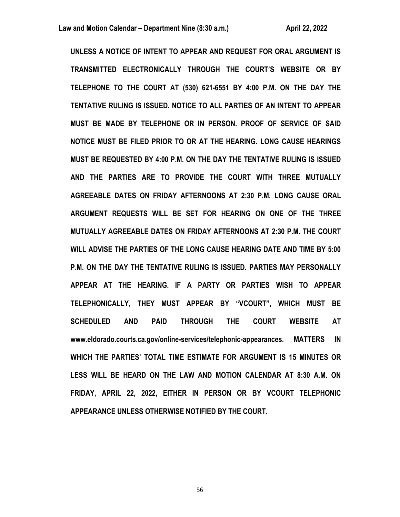**UNLESS A NOTICE OF INTENT TO APPEAR AND REQUEST FOR ORAL ARGUMENT IS TRANSMITTED ELECTRONICALLY THROUGH THE COURT'S WEBSITE OR BY TELEPHONE TO THE COURT AT (530) 621-6551 BY 4:00 P.M. ON THE DAY THE TENTATIVE RULING IS ISSUED. NOTICE TO ALL PARTIES OF AN INTENT TO APPEAR MUST BE MADE BY TELEPHONE OR IN PERSON. PROOF OF SERVICE OF SAID NOTICE MUST BE FILED PRIOR TO OR AT THE HEARING. LONG CAUSE HEARINGS MUST BE REQUESTED BY 4:00 P.M. ON THE DAY THE TENTATIVE RULING IS ISSUED AND THE PARTIES ARE TO PROVIDE THE COURT WITH THREE MUTUALLY AGREEABLE DATES ON FRIDAY AFTERNOONS AT 2:30 P.M. LONG CAUSE ORAL ARGUMENT REQUESTS WILL BE SET FOR HEARING ON ONE OF THE THREE MUTUALLY AGREEABLE DATES ON FRIDAY AFTERNOONS AT 2:30 P.M. THE COURT WILL ADVISE THE PARTIES OF THE LONG CAUSE HEARING DATE AND TIME BY 5:00 P.M. ON THE DAY THE TENTATIVE RULING IS ISSUED. PARTIES MAY PERSONALLY APPEAR AT THE HEARING. IF A PARTY OR PARTIES WISH TO APPEAR TELEPHONICALLY, THEY MUST APPEAR BY "VCOURT", WHICH MUST BE SCHEDULED AND PAID THROUGH THE COURT WEBSITE AT www.eldorado.courts.ca.gov/online-services/telephonic-appearances. MATTERS IN WHICH THE PARTIES' TOTAL TIME ESTIMATE FOR ARGUMENT IS 15 MINUTES OR LESS WILL BE HEARD ON THE LAW AND MOTION CALENDAR AT 8:30 A.M. ON FRIDAY, APRIL 22, 2022, EITHER IN PERSON OR BY VCOURT TELEPHONIC APPEARANCE UNLESS OTHERWISE NOTIFIED BY THE COURT.**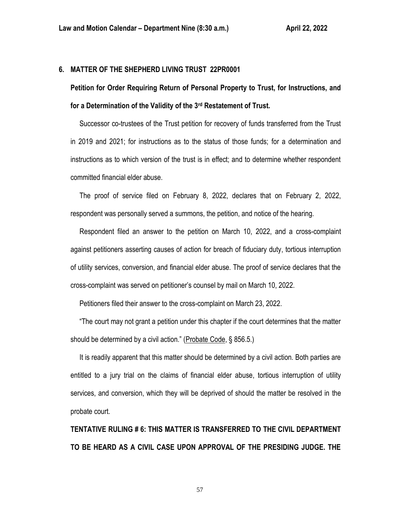# **6. MATTER OF THE SHEPHERD LIVING TRUST 22PR0001**

**Petition for Order Requiring Return of Personal Property to Trust, for Instructions, and for a Determination of the Validity of the 3rd Restatement of Trust.**

 Successor co-trustees of the Trust petition for recovery of funds transferred from the Trust in 2019 and 2021; for instructions as to the status of those funds; for a determination and instructions as to which version of the trust is in effect; and to determine whether respondent committed financial elder abuse.

 The proof of service filed on February 8, 2022, declares that on February 2, 2022, respondent was personally served a summons, the petition, and notice of the hearing.

 Respondent filed an answer to the petition on March 10, 2022, and a cross-complaint against petitioners asserting causes of action for breach of fiduciary duty, tortious interruption of utility services, conversion, and financial elder abuse. The proof of service declares that the cross-complaint was served on petitioner's counsel by mail on March 10, 2022.

Petitioners filed their answer to the cross-complaint on March 23, 2022.

 "The court may not grant a petition under this chapter if the court determines that the matter should be determined by a civil action." (Probate Code, § 856.5.)

 It is readily apparent that this matter should be determined by a civil action. Both parties are entitled to a jury trial on the claims of financial elder abuse, tortious interruption of utility services, and conversion, which they will be deprived of should the matter be resolved in the probate court.

**TENTATIVE RULING # 6: THIS MATTER IS TRANSFERRED TO THE CIVIL DEPARTMENT TO BE HEARD AS A CIVIL CASE UPON APPROVAL OF THE PRESIDING JUDGE. THE**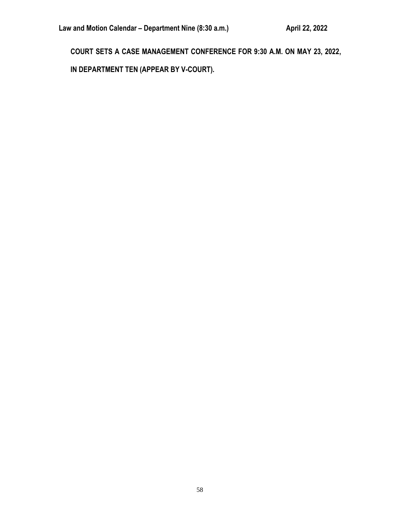**COURT SETS A CASE MANAGEMENT CONFERENCE FOR 9:30 A.M. ON MAY 23, 2022,**

**IN DEPARTMENT TEN (APPEAR BY V-COURT).**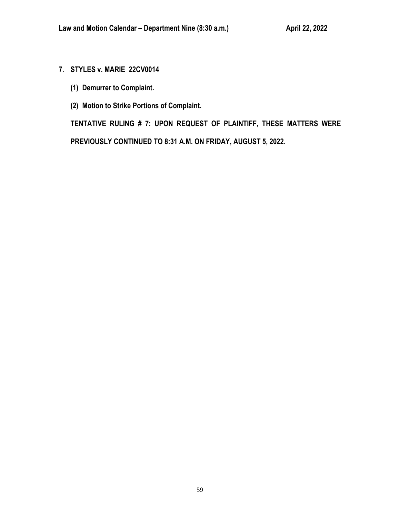# **7. STYLES v. MARIE 22CV0014**

- **(1) Demurrer to Complaint.**
- **(2) Motion to Strike Portions of Complaint.**

**TENTATIVE RULING # 7: UPON REQUEST OF PLAINTIFF, THESE MATTERS WERE PREVIOUSLY CONTINUED TO 8:31 A.M. ON FRIDAY, AUGUST 5, 2022.**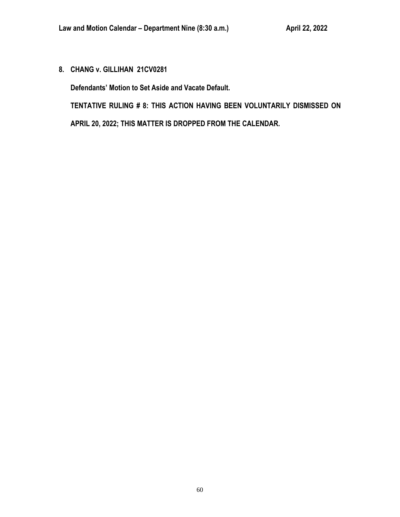**8. CHANG v. GILLIHAN 21CV0281**

**Defendants' Motion to Set Aside and Vacate Default.**

**TENTATIVE RULING # 8: THIS ACTION HAVING BEEN VOLUNTARILY DISMISSED ON APRIL 20, 2022; THIS MATTER IS DROPPED FROM THE CALENDAR.**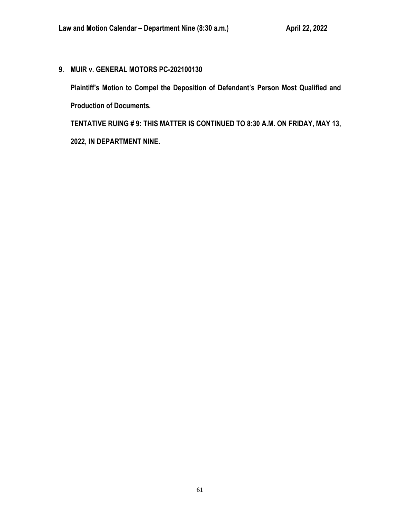**9. MUIR v. GENERAL MOTORS PC-202100130**

**Plaintiff's Motion to Compel the Deposition of Defendant's Person Most Qualified and Production of Documents.**

**TENTATIVE RUING # 9: THIS MATTER IS CONTINUED TO 8:30 A.M. ON FRIDAY, MAY 13, 2022, IN DEPARTMENT NINE.**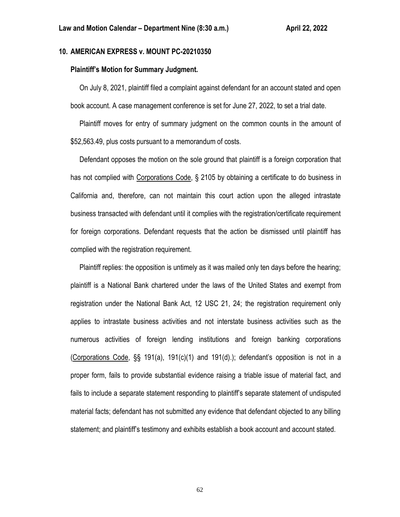# **10. AMERICAN EXPRESS v. MOUNT PC-20210350**

### **Plaintiff's Motion for Summary Judgment.**

 On July 8, 2021, plaintiff filed a complaint against defendant for an account stated and open book account. A case management conference is set for June 27, 2022, to set a trial date.

 Plaintiff moves for entry of summary judgment on the common counts in the amount of \$52,563.49, plus costs pursuant to a memorandum of costs.

 Defendant opposes the motion on the sole ground that plaintiff is a foreign corporation that has not complied with Corporations Code, § 2105 by obtaining a certificate to do business in California and, therefore, can not maintain this court action upon the alleged intrastate business transacted with defendant until it complies with the registration/certificate requirement for foreign corporations. Defendant requests that the action be dismissed until plaintiff has complied with the registration requirement.

 Plaintiff replies: the opposition is untimely as it was mailed only ten days before the hearing; plaintiff is a National Bank chartered under the laws of the United States and exempt from registration under the National Bank Act, 12 USC 21, 24; the registration requirement only applies to intrastate business activities and not interstate business activities such as the numerous activities of foreign lending institutions and foreign banking corporations (Corporations Code, §§ 191(a), 191(c)(1) and 191(d).); defendant's opposition is not in a proper form, fails to provide substantial evidence raising a triable issue of material fact, and fails to include a separate statement responding to plaintiff's separate statement of undisputed material facts; defendant has not submitted any evidence that defendant objected to any billing statement; and plaintiff's testimony and exhibits establish a book account and account stated.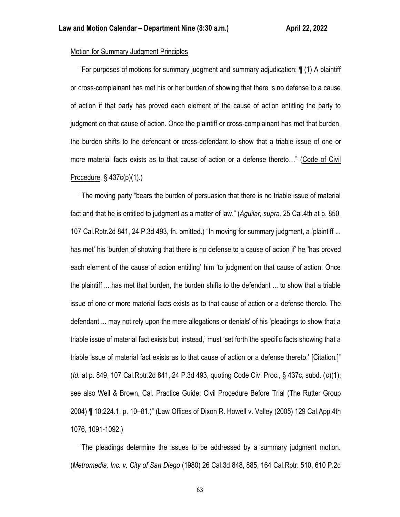# Motion for Summary Judgment Principles

 "For purposes of motions for summary judgment and summary adjudication: ¶ (1) A plaintiff or cross-complainant has met his or her burden of showing that there is no defense to a cause of action if that party has proved each element of the cause of action entitling the party to judgment on that cause of action. Once the plaintiff or cross-complainant has met that burden, the burden shifts to the defendant or cross-defendant to show that a triable issue of one or more material facts exists as to that cause of action or a defense thereto…" (Code of Civil Procedure, § 437c(p)(1).)

 "The moving party "bears the burden of persuasion that there is no triable issue of material fact and that he is entitled to judgment as a matter of law." (*Aguilar, supra,* 25 Cal.4th at p. 850, 107 Cal.Rptr.2d 841, 24 P.3d 493, fn. omitted.) "In moving for summary judgment, a 'plaintiff ... has met' his 'burden of showing that there is no defense to a cause of action if' he 'has proved each element of the cause of action entitling' him 'to judgment on that cause of action. Once the plaintiff ... has met that burden, the burden shifts to the defendant ... to show that a triable issue of one or more material facts exists as to that cause of action or a defense thereto. The defendant ... may not rely upon the mere allegations or denials' of his 'pleadings to show that a triable issue of material fact exists but, instead,' must 'set forth the specific facts showing that a triable issue of material fact exists as to that cause of action or a defense thereto.' [Citation.]" (*Id.* at p. 849, 107 Cal.Rptr.2d 841, 24 P.3d 493, quoting Code Civ. Proc., § 437c, subd. (*o*)(1); see also Weil & Brown, Cal. Practice Guide: Civil Procedure Before Trial (The Rutter Group 2004) ¶ 10:224.1, p. 10–81.)" (Law Offices of Dixon R. Howell v. Valley (2005) 129 Cal.App.4th 1076, 1091-1092.)

 "The pleadings determine the issues to be addressed by a summary judgment motion. (*Metromedia, Inc. v. City of San Diego* (1980) 26 Cal.3d 848, 885, 164 Cal.Rptr. 510, 610 P.2d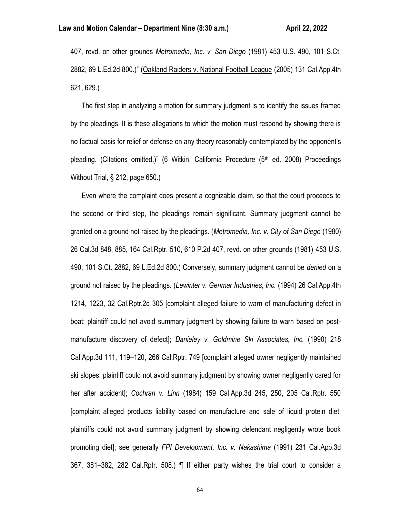407, revd. on other grounds *Metromedia, Inc. v. San Diego* (1981) 453 U.S. 490, 101 S.Ct. 2882, 69 L.Ed.2d 800.)" (Oakland Raiders v. National Football League (2005) 131 Cal.App.4th 621, 629.)

 "The first step in analyzing a motion for summary judgment is to identify the issues framed by the pleadings. It is these allegations to which the motion must respond by showing there is no factual basis for relief or defense on any theory reasonably contemplated by the opponent's pleading. (Citations omitted.)" (6 Witkin, California Procedure (5<sup>th</sup> ed. 2008) Proceedings Without Trial, § 212, page 650.)

 "Even where the complaint does present a cognizable claim, so that the court proceeds to the second or third step, the pleadings remain significant. Summary judgment cannot be granted on a ground not raised by the pleadings. (*Metromedia, Inc. v. City of San Diego* (1980) 26 Cal.3d 848, 885, 164 Cal.Rptr. 510, 610 P.2d 407, revd. on other grounds (1981) 453 U.S. 490, 101 S.Ct. 2882, 69 L.Ed.2d 800.) Conversely, summary judgment cannot be *denied* on a ground not raised by the pleadings. (*Lewinter v. Genmar Industries, Inc.* (1994) 26 Cal.App.4th 1214, 1223, 32 Cal.Rptr.2d 305 [complaint alleged failure to warn of manufacturing defect in boat; plaintiff could not avoid summary judgment by showing failure to warn based on postmanufacture discovery of defect]; *Danieley v. Goldmine Ski Associates, Inc.* (1990) 218 Cal.App.3d 111, 119–120, 266 Cal.Rptr. 749 [complaint alleged owner negligently maintained ski slopes; plaintiff could not avoid summary judgment by showing owner negligently cared for her after accident]; *Cochran v. Linn* (1984) 159 Cal.App.3d 245, 250, 205 Cal.Rptr. 550 [complaint alleged products liability based on manufacture and sale of liquid protein diet; plaintiffs could not avoid summary judgment by showing defendant negligently wrote book promoting diet]; see generally *FPI Development, Inc. v. Nakashima* (1991) 231 Cal.App.3d 367, 381–382, 282 Cal.Rptr. 508.) ¶ If either party wishes the trial court to consider a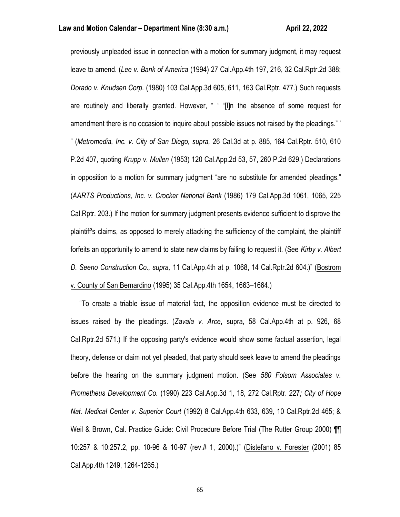previously unpleaded issue in connection with a motion for summary judgment, it may request leave to amend. (*Lee v. Bank of America* (1994) 27 Cal.App.4th 197, 216, 32 Cal.Rptr.2d 388; *Dorado v. Knudsen Corp.* (1980) 103 Cal.App.3d 605, 611, 163 Cal.Rptr. 477.) Such requests are routinely and liberally granted. However, " ' "[I]n the absence of some request for amendment there is no occasion to inquire about possible issues not raised by the pleadings." ' " (*Metromedia, Inc. v. City of San Diego, supra,* 26 Cal.3d at p. 885, 164 Cal.Rptr. 510, 610 P.2d 407, quoting *Krupp v. Mullen* (1953) 120 Cal.App.2d 53, 57, 260 P.2d 629.) Declarations in opposition to a motion for summary judgment "are no substitute for amended pleadings." (*AARTS Productions, Inc. v. Crocker National Bank* (1986) 179 Cal.App.3d 1061, 1065, 225 Cal.Rptr. 203.) If the motion for summary judgment presents evidence sufficient to disprove the plaintiff's claims, as opposed to merely attacking the sufficiency of the complaint, the plaintiff forfeits an opportunity to amend to state new claims by failing to request it. (See *Kirby v. Albert D. Seeno Construction Co., supra,* 11 Cal.App.4th at p. 1068, 14 Cal.Rptr.2d 604.)" (Bostrom v. County of San Bernardino (1995) 35 Cal.App.4th 1654, 1663–1664.)

 "To create a triable issue of material fact, the opposition evidence must be directed to issues raised by the pleadings. (*Zavala v. Arce*, supra, 58 Cal.App.4th at p. 926, 68 Cal.Rptr.2d 571.) If the opposing party's evidence would show some factual assertion, legal theory, defense or claim not yet pleaded, that party should seek leave to amend the pleadings before the hearing on the summary judgment motion. (See *580 Folsom Associates v. Prometheus Development Co.* (1990) 223 Cal.App.3d 1, 18, 272 Cal.Rptr. 227*; City of Hope Nat. Medical Center v. Superior Court* (1992) 8 Cal.App.4th 633, 639, 10 Cal.Rptr.2d 465; & Weil & Brown, Cal. Practice Guide: Civil Procedure Before Trial (The Rutter Group 2000) ¶¶ 10:257 & 10:257.2, pp. 10-96 & 10-97 (rev.# 1, 2000).)" (Distefano v. Forester (2001) 85 Cal.App.4th 1249, 1264-1265.)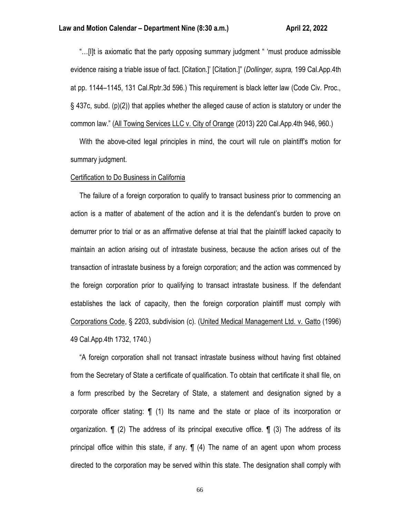"…[I]t is axiomatic that the party opposing summary judgment " 'must produce admissible evidence raising a triable issue of fact. [Citation.]' [Citation.]" (*Dollinger, supra,* 199 Cal.App.4th at pp. 1144–1145, 131 Cal.Rptr.3d 596.) This requirement is black letter law (Code Civ. Proc., § 437c, subd. (p)(2)) that applies whether the alleged cause of action is statutory or under the common law." (All Towing Services LLC v. City of Orange (2013) 220 Cal.App.4th 946, 960.)

 With the above-cited legal principles in mind, the court will rule on plaintiff's motion for summary judgment.

#### Certification to Do Business in California

 The failure of a foreign corporation to qualify to transact business prior to commencing an action is a matter of abatement of the action and it is the defendant's burden to prove on demurrer prior to trial or as an affirmative defense at trial that the plaintiff lacked capacity to maintain an action arising out of intrastate business, because the action arises out of the transaction of intrastate business by a foreign corporation; and the action was commenced by the foreign corporation prior to qualifying to transact intrastate business. If the defendant establishes the lack of capacity, then the foreign corporation plaintiff must comply with Corporations Code, § 2203, subdivision (c). (United Medical Management Ltd. v. Gatto (1996) 49 Cal.App.4th 1732, 1740.)

 "A foreign corporation shall not transact intrastate business without having first obtained from the Secretary of State a certificate of qualification. To obtain that certificate it shall file, on a form prescribed by the Secretary of State, a statement and designation signed by a corporate officer stating: ¶ (1) Its name and the state or place of its incorporation or organization. ¶ (2) The address of its principal executive office. ¶ (3) The address of its principal office within this state, if any. ¶ (4) The name of an agent upon whom process directed to the corporation may be served within this state. The designation shall comply with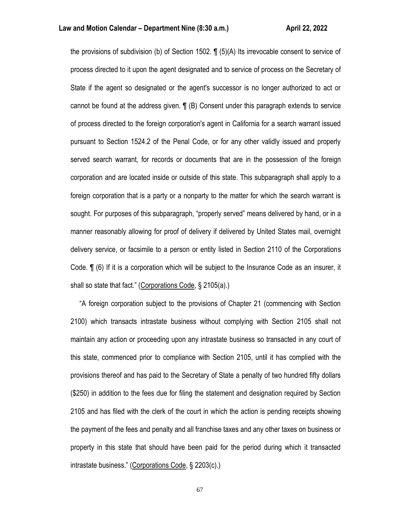the provisions of subdivision (b) of Section 1502. ¶ (5)(A) Its irrevocable consent to service of process directed to it upon the agent designated and to service of process on the Secretary of State if the agent so designated or the agent's successor is no longer authorized to act or cannot be found at the address given. ¶ (B) Consent under this paragraph extends to service of process directed to the foreign corporation's agent in California for a search warrant issued pursuant to Section 1524.2 of the Penal Code, or for any other validly issued and properly served search warrant, for records or documents that are in the possession of the foreign corporation and are located inside or outside of this state. This subparagraph shall apply to a foreign corporation that is a party or a nonparty to the matter for which the search warrant is sought. For purposes of this subparagraph, "properly served" means delivered by hand, or in a manner reasonably allowing for proof of delivery if delivered by United States mail, overnight delivery service, or facsimile to a person or entity listed in Section 2110 of the Corporations Code. ¶ (6) If it is a corporation which will be subject to the Insurance Code as an insurer, it shall so state that fact." (Corporations Code, § 2105(a).)

 "A foreign corporation subject to the provisions of Chapter 21 (commencing with Section 2100) which transacts intrastate business without complying with Section 2105 shall not maintain any action or proceeding upon any intrastate business so transacted in any court of this state, commenced prior to compliance with Section 2105, until it has complied with the provisions thereof and has paid to the Secretary of State a penalty of two hundred fifty dollars (\$250) in addition to the fees due for filing the statement and designation required by Section 2105 and has filed with the clerk of the court in which the action is pending receipts showing the payment of the fees and penalty and all franchise taxes and any other taxes on business or property in this state that should have been paid for the period during which it transacted intrastate business." (Corporations Code, § 2203(c).)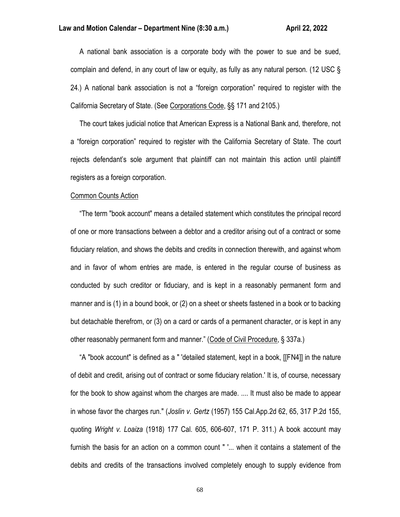A national bank association is a corporate body with the power to sue and be sued, complain and defend, in any court of law or equity, as fully as any natural person. (12 USC § 24.) A national bank association is not a "foreign corporation" required to register with the California Secretary of State. (See Corporations Code, §§ 171 and 2105.)

 The court takes judicial notice that American Express is a National Bank and, therefore, not a "foreign corporation" required to register with the California Secretary of State. The court rejects defendant's sole argument that plaintiff can not maintain this action until plaintiff registers as a foreign corporation.

#### Common Counts Action

 "The term "book account" means a detailed statement which constitutes the principal record of one or more transactions between a debtor and a creditor arising out of a contract or some fiduciary relation, and shows the debits and credits in connection therewith, and against whom and in favor of whom entries are made, is entered in the regular course of business as conducted by such creditor or fiduciary, and is kept in a reasonably permanent form and manner and is (1) in a bound book, or (2) on a sheet or sheets fastened in a book or to backing but detachable therefrom, or (3) on a card or cards of a permanent character, or is kept in any other reasonably permanent form and manner." (Code of Civil Procedure, § 337a.)

 "A "book account" is defined as a " 'detailed statement, kept in a book, [[FN4]] in the nature of debit and credit, arising out of contract or some fiduciary relation.' It is, of course, necessary for the book to show against whom the charges are made. .... It must also be made to appear in whose favor the charges run." (*Joslin v. Gertz* (1957) 155 Cal.App.2d 62, 65, 317 P.2d 155, quoting *Wright v. Loaiza* (1918) 177 Cal. 605, 606-607, 171 P. 311.) A book account may furnish the basis for an action on a common count " '... when it contains a statement of the debits and credits of the transactions involved completely enough to supply evidence from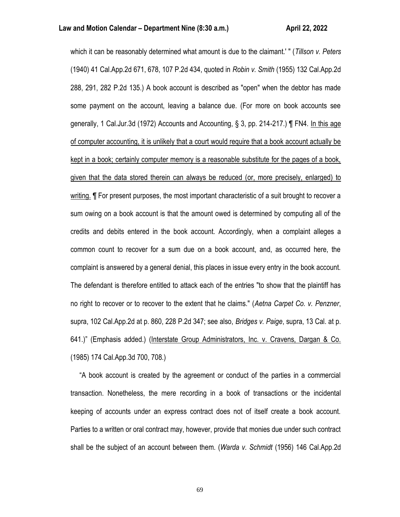which it can be reasonably determined what amount is due to the claimant.' " (*Tillson v. Peters* (1940) 41 Cal.App.2d 671, 678, 107 P.2d 434, quoted in *Robin v. Smith* (1955) 132 Cal.App.2d 288, 291, 282 P.2d 135.) A book account is described as "open" when the debtor has made some payment on the account, leaving a balance due. (For more on book accounts see generally, 1 Cal.Jur.3d (1972) Accounts and Accounting, § 3, pp. 214-217.) ¶ FN4. In this age of computer accounting, it is unlikely that a court would require that a book account actually be kept in a book; certainly computer memory is a reasonable substitute for the pages of a book, given that the data stored therein can always be reduced (or, more precisely, enlarged) to writing. **I** For present purposes, the most important characteristic of a suit brought to recover a sum owing on a book account is that the amount owed is determined by computing all of the credits and debits entered in the book account. Accordingly, when a complaint alleges a common count to recover for a sum due on a book account, and, as occurred here, the complaint is answered by a general denial, this places in issue every entry in the book account. The defendant is therefore entitled to attack each of the entries "to show that the plaintiff has no right to recover or to recover to the extent that he claims." (*Aetna Carpet Co. v. Penzner*, supra, 102 Cal.App.2d at p. 860, 228 P.2d 347; see also, *Bridges v. Paige*, supra, 13 Cal. at p. 641.)" (Emphasis added.) (Interstate Group Administrators, Inc. v. Cravens, Dargan & Co. (1985) 174 Cal.App.3d 700, 708.)

 "A book account is created by the agreement or conduct of the parties in a commercial transaction. Nonetheless, the mere recording in a book of transactions or the incidental keeping of accounts under an express contract does not of itself create a book account. Parties to a written or oral contract may, however, provide that monies due under such contract shall be the subject of an account between them. (*Warda v. Schmidt* (1956) 146 Cal.App.2d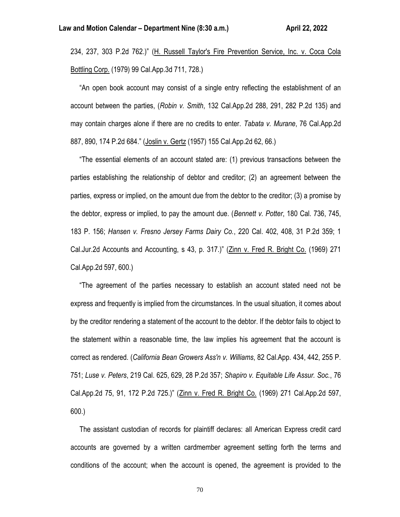234, 237, 303 P.2d 762.)" (H. Russell Taylor's Fire Prevention Service, Inc. v. Coca Cola Bottling Corp. (1979) 99 Cal.App.3d 711, 728.)

 "An open book account may consist of a single entry reflecting the establishment of an account between the parties, (*Robin v. Smith*, 132 Cal.App.2d 288, 291, 282 P.2d 135) and may contain charges alone if there are no credits to enter. *Tabata v. Murane*, 76 Cal.App.2d 887, 890, 174 P.2d 684." (Joslin v. Gertz (1957) 155 Cal.App.2d 62, 66.)

 "The essential elements of an account stated are: (1) previous transactions between the parties establishing the relationship of debtor and creditor; (2) an agreement between the parties, express or implied, on the amount due from the debtor to the creditor; (3) a promise by the debtor, express or implied, to pay the amount due. (*Bennett v. Potter*, 180 Cal. 736, 745, 183 P. 156; *Hansen v. Fresno Jersey Farms Dairy Co.*, 220 Cal. 402, 408, 31 P.2d 359; 1 Cal.Jur.2d Accounts and Accounting, s 43, p. 317.)" (Zinn v. Fred R. Bright Co. (1969) 271 Cal.App.2d 597, 600.)

 "The agreement of the parties necessary to establish an account stated need not be express and frequently is implied from the circumstances. In the usual situation, it comes about by the creditor rendering a statement of the account to the debtor. If the debtor fails to object to the statement within a reasonable time, the law implies his agreement that the account is correct as rendered. (*California Bean Growers Ass'n v. Williams*, 82 Cal.App. 434, 442, 255 P. 751; *Luse v. Peters*, 219 Cal. 625, 629, 28 P.2d 357; *Shapiro v. Equitable Life Assur. Soc.*, 76 Cal.App.2d 75, 91, 172 P.2d 725.)" (Zinn v. Fred R. Bright Co. (1969) 271 Cal.App.2d 597, 600.)

 The assistant custodian of records for plaintiff declares: all American Express credit card accounts are governed by a written cardmember agreement setting forth the terms and conditions of the account; when the account is opened, the agreement is provided to the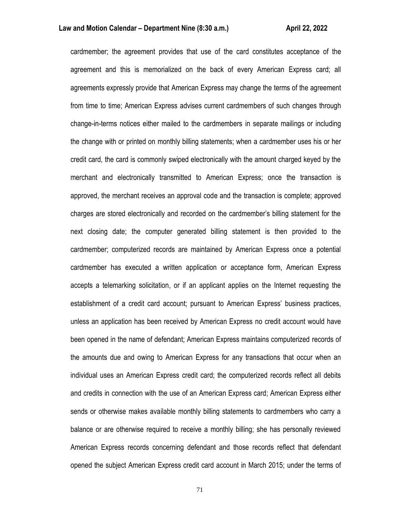#### **Law and Motion Calendar – Department Nine (8:30 a.m.) <b>All Accord Accord Accord Accord Accord Accord Accord Accord**

cardmember; the agreement provides that use of the card constitutes acceptance of the agreement and this is memorialized on the back of every American Express card; all agreements expressly provide that American Express may change the terms of the agreement from time to time; American Express advises current cardmembers of such changes through change-in-terms notices either mailed to the cardmembers in separate mailings or including the change with or printed on monthly billing statements; when a cardmember uses his or her credit card, the card is commonly swiped electronically with the amount charged keyed by the merchant and electronically transmitted to American Express; once the transaction is approved, the merchant receives an approval code and the transaction is complete; approved charges are stored electronically and recorded on the cardmember's billing statement for the next closing date; the computer generated billing statement is then provided to the cardmember; computerized records are maintained by American Express once a potential cardmember has executed a written application or acceptance form, American Express accepts a telemarking solicitation, or if an applicant applies on the Internet requesting the establishment of a credit card account; pursuant to American Express' business practices, unless an application has been received by American Express no credit account would have been opened in the name of defendant; American Express maintains computerized records of the amounts due and owing to American Express for any transactions that occur when an individual uses an American Express credit card; the computerized records reflect all debits and credits in connection with the use of an American Express card; American Express either sends or otherwise makes available monthly billing statements to cardmembers who carry a balance or are otherwise required to receive a monthly billing; she has personally reviewed American Express records concerning defendant and those records reflect that defendant opened the subject American Express credit card account in March 2015; under the terms of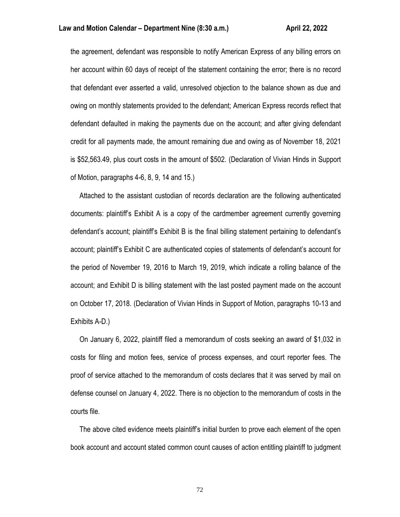the agreement, defendant was responsible to notify American Express of any billing errors on her account within 60 days of receipt of the statement containing the error; there is no record that defendant ever asserted a valid, unresolved objection to the balance shown as due and owing on monthly statements provided to the defendant; American Express records reflect that defendant defaulted in making the payments due on the account; and after giving defendant credit for all payments made, the amount remaining due and owing as of November 18, 2021 is \$52,563.49, plus court costs in the amount of \$502. (Declaration of Vivian Hinds in Support of Motion, paragraphs 4-6, 8, 9, 14 and 15.)

 Attached to the assistant custodian of records declaration are the following authenticated documents: plaintiff's Exhibit A is a copy of the cardmember agreement currently governing defendant's account; plaintiff's Exhibit B is the final billing statement pertaining to defendant's account; plaintiff's Exhibit C are authenticated copies of statements of defendant's account for the period of November 19, 2016 to March 19, 2019, which indicate a rolling balance of the account; and Exhibit D is billing statement with the last posted payment made on the account on October 17, 2018. (Declaration of Vivian Hinds in Support of Motion, paragraphs 10-13 and Exhibits A-D.)

 On January 6, 2022, plaintiff filed a memorandum of costs seeking an award of \$1,032 in costs for filing and motion fees, service of process expenses, and court reporter fees. The proof of service attached to the memorandum of costs declares that it was served by mail on defense counsel on January 4, 2022. There is no objection to the memorandum of costs in the courts file.

 The above cited evidence meets plaintiff's initial burden to prove each element of the open book account and account stated common count causes of action entitling plaintiff to judgment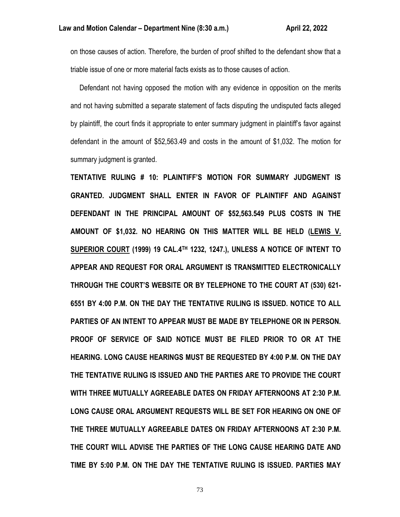on those causes of action. Therefore, the burden of proof shifted to the defendant show that a triable issue of one or more material facts exists as to those causes of action.

 Defendant not having opposed the motion with any evidence in opposition on the merits and not having submitted a separate statement of facts disputing the undisputed facts alleged by plaintiff, the court finds it appropriate to enter summary judgment in plaintiff's favor against defendant in the amount of \$52,563.49 and costs in the amount of \$1,032. The motion for summary judgment is granted.

**TENTATIVE RULING # 10: PLAINTIFF'S MOTION FOR SUMMARY JUDGMENT IS GRANTED. JUDGMENT SHALL ENTER IN FAVOR OF PLAINTIFF AND AGAINST DEFENDANT IN THE PRINCIPAL AMOUNT OF \$52,563.549 PLUS COSTS IN THE AMOUNT OF \$1,032. NO HEARING ON THIS MATTER WILL BE HELD (LEWIS V. SUPERIOR COURT (1999) 19 CAL.4TH 1232, 1247.), UNLESS A NOTICE OF INTENT TO APPEAR AND REQUEST FOR ORAL ARGUMENT IS TRANSMITTED ELECTRONICALLY THROUGH THE COURT'S WEBSITE OR BY TELEPHONE TO THE COURT AT (530) 621- 6551 BY 4:00 P.M. ON THE DAY THE TENTATIVE RULING IS ISSUED. NOTICE TO ALL PARTIES OF AN INTENT TO APPEAR MUST BE MADE BY TELEPHONE OR IN PERSON. PROOF OF SERVICE OF SAID NOTICE MUST BE FILED PRIOR TO OR AT THE HEARING. LONG CAUSE HEARINGS MUST BE REQUESTED BY 4:00 P.M. ON THE DAY THE TENTATIVE RULING IS ISSUED AND THE PARTIES ARE TO PROVIDE THE COURT WITH THREE MUTUALLY AGREEABLE DATES ON FRIDAY AFTERNOONS AT 2:30 P.M. LONG CAUSE ORAL ARGUMENT REQUESTS WILL BE SET FOR HEARING ON ONE OF THE THREE MUTUALLY AGREEABLE DATES ON FRIDAY AFTERNOONS AT 2:30 P.M. THE COURT WILL ADVISE THE PARTIES OF THE LONG CAUSE HEARING DATE AND TIME BY 5:00 P.M. ON THE DAY THE TENTATIVE RULING IS ISSUED. PARTIES MAY**